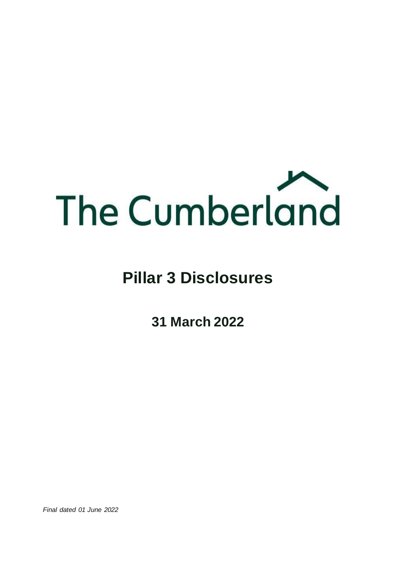

# **Pillar 3 Disclosures**

**31 March 2022**

*Final dated 01 June 2022*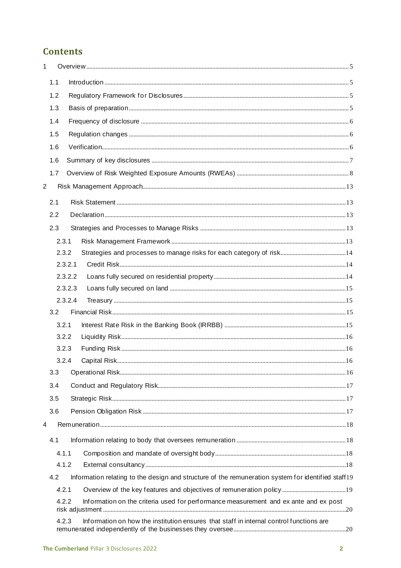# **Contents**

| $\mathbf{1}$   |     |                                                                                                    |  |
|----------------|-----|----------------------------------------------------------------------------------------------------|--|
|                | 1.1 |                                                                                                    |  |
|                | 1.2 |                                                                                                    |  |
|                | 1.3 |                                                                                                    |  |
|                | 1.4 |                                                                                                    |  |
|                | 1.5 |                                                                                                    |  |
|                | 1.6 |                                                                                                    |  |
|                | 1.6 |                                                                                                    |  |
|                | 1.7 |                                                                                                    |  |
| $\overline{2}$ |     |                                                                                                    |  |
|                | 2.1 |                                                                                                    |  |
|                | 2.2 |                                                                                                    |  |
|                | 2.3 |                                                                                                    |  |
|                |     | 2.3.1                                                                                              |  |
|                |     | 2.3.2                                                                                              |  |
|                |     | 2.3.2.1                                                                                            |  |
|                |     | 2.3.2.2                                                                                            |  |
|                |     | 2.3.2.3                                                                                            |  |
|                |     | 2.3.2.4                                                                                            |  |
|                | 3.2 |                                                                                                    |  |
|                |     | 3.2.1                                                                                              |  |
|                |     | 3.2.2                                                                                              |  |
|                |     | 3.2.3                                                                                              |  |
|                |     | 3.2.4                                                                                              |  |
|                | 3.3 |                                                                                                    |  |
|                | 3.4 |                                                                                                    |  |
|                | 3.5 |                                                                                                    |  |
|                | 3.6 |                                                                                                    |  |
| 4              |     |                                                                                                    |  |
|                | 4.1 |                                                                                                    |  |
|                |     | 4.1.1                                                                                              |  |
|                |     | 4.1.2                                                                                              |  |
|                | 4.2 | Information relating to the design and structure of the remuneration system for identified staff19 |  |
|                |     | 4.2.1                                                                                              |  |
|                |     | Information on the criteria used for performance measurement and ex ante and ex post<br>4.2.2      |  |
|                |     | Information on how the institution ensures that staff in internal control functions are<br>4.2.3   |  |
|                |     |                                                                                                    |  |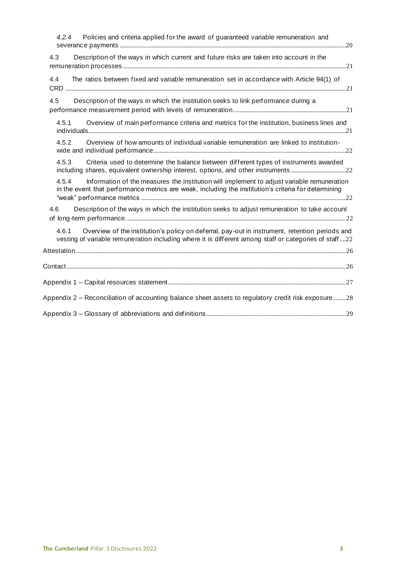| Policies and criteria applied for the award of guaranteed variable remuneration and<br>4.2.4                                                                                                                     |
|------------------------------------------------------------------------------------------------------------------------------------------------------------------------------------------------------------------|
| Description of the ways in which current and future risks are taken into account in the<br>4.3                                                                                                                   |
| The ratios between fixed and variable remuneration set in accordance with Article 94(1) of<br>4.4                                                                                                                |
| Description of the ways in which the institution seeks to link performance during a<br>4.5                                                                                                                       |
| Overview of main performance criteria and metrics for the institution, business lines and<br>4.5.1                                                                                                               |
| 4.5.2<br>Overview of how amounts of individual variable remuneration are linked to institution-                                                                                                                  |
| Criteria used to determine the balance between different types of instruments awarded<br>4.5.3<br>including shares, equivalent ownership interest, options, and other instruments 22                             |
| 4.5.4<br>Information of the measures the institution will implement to adjust variable remuneration<br>in the event that performance metrics are weak, including the institution's criteria for determining      |
| Description of the ways in which the institution seeks to adjust remuneration to take account<br>4.6                                                                                                             |
| Overview of the institution's policy on deferral, pay-out in instrument, retention periods and<br>4.6.1<br>vesting of variable remuneration including where it is different among staff or categories of staff22 |
|                                                                                                                                                                                                                  |
|                                                                                                                                                                                                                  |
|                                                                                                                                                                                                                  |
| Appendix 2 – Reconciliation of accounting balance sheet assets to regulatory credit risk exposure 28                                                                                                             |
|                                                                                                                                                                                                                  |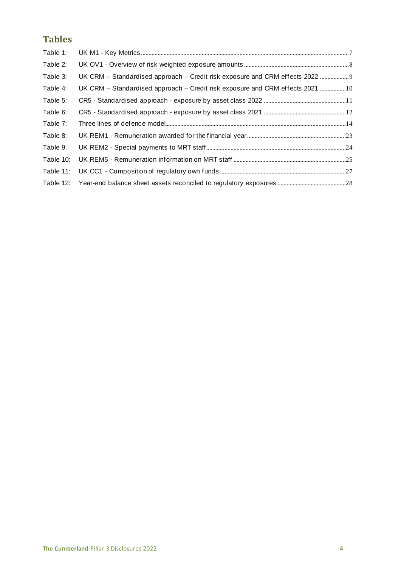# **Tables**

| Table 1:  |                                                                               |
|-----------|-------------------------------------------------------------------------------|
| Table 2:  |                                                                               |
| Table 3:  | UK CRM - Standardised approach - Credit risk exposure and CRM effects 2022  9 |
| Table 4:  | UK CRM – Standardised approach – Credit risk exposure and CRM effects 2021 10 |
| Table 5:  |                                                                               |
| Table 6:  |                                                                               |
| Table 7:  |                                                                               |
| Table 8:  |                                                                               |
| Table 9:  |                                                                               |
| Table 10: |                                                                               |
| Table 11: |                                                                               |
|           |                                                                               |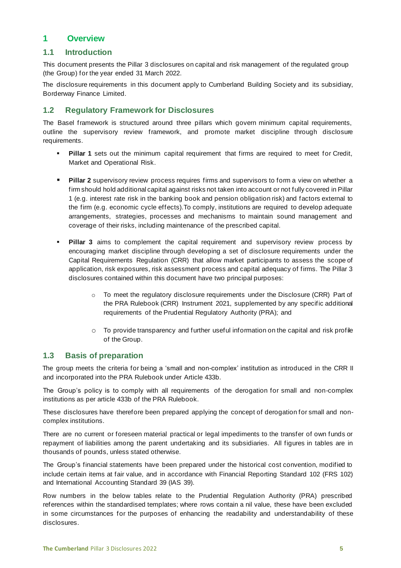# <span id="page-4-0"></span>**1 Overview**

#### <span id="page-4-1"></span>**1.1 Introduction**

This document presents the Pillar 3 disclosures on capital and risk management of the regulated group (the Group) for the year ended 31 March 2022.

The disclosure requirements in this document apply to Cumberland Building Society and its subsidiary, Borderway Finance Limited.

# <span id="page-4-2"></span>**1.2 Regulatory Framework for Disclosures**

The Basel framework is structured around three pillars which govern minimum capital requirements, outline the supervisory review framework, and promote market discipline through disclosure requirements.

- **Pillar 1** sets out the minimum capital requirement that firms are required to meet for Credit, Market and Operational Risk.
- Pillar 2 supervisory review process requires firms and supervisors to form a view on whether a firm should hold additional capital against risks not taken into account or not fully covered in Pillar 1 (e.g. interest rate risk in the banking book and pension obligation risk) and factors external to the firm (e.g. economic cycle effects).To comply, institutions are required to develop adequate arrangements, strategies, processes and mechanisms to maintain sound management and coverage of their risks, including maintenance of the prescribed capital.
- **Pillar 3** aims to complement the capital requirement and supervisory review process by encouraging market discipline through developing a set of disclosure requirements under the Capital Requirements Regulation (CRR) that allow market participants to assess the scope of application, risk exposures, risk assessment process and capital adequacy of firms. The Pillar 3 disclosures contained within this document have two principal purposes:
	- $\circ$  To meet the regulatory disclosure requirements under the Disclosure (CRR) Part of the PRA Rulebook (CRR) Instrument 2021, supplemented by any specific additional requirements of the Prudential Regulatory Authority (PRA); and
	- o To provide transparency and further useful information on the capital and risk profile of the Group.

#### <span id="page-4-3"></span>**1.3 Basis of preparation**

The group meets the criteria for being a 'small and non-complex' institution as introduced in the CRR II and incorporated into the PRA Rulebook under Article 433b.

The Group's policy is to comply with all requirements of the derogation for small and non-complex institutions as per article 433b of the PRA Rulebook.

These disclosures have therefore been prepared applying the concept of derogation for small and noncomplex institutions.

There are no current or foreseen material practical or legal impediments to the transfer of own funds or repayment of liabilities among the parent undertaking and its subsidiaries. All figures in tables are in thousands of pounds, unless stated otherwise.

The Group's financial statements have been prepared under the historical cost convention, modified to include certain items at fair value, and in accordance with Financial Reporting Standard 102 (FRS 102) and International Accounting Standard 39 (IAS 39).

Row numbers in the below tables relate to the Prudential Regulation Authority (PRA) prescribed references within the standardised templates; where rows contain a nil value, these have been excluded in some circumstances for the purposes of enhancing the readability and understandability of these disclosures.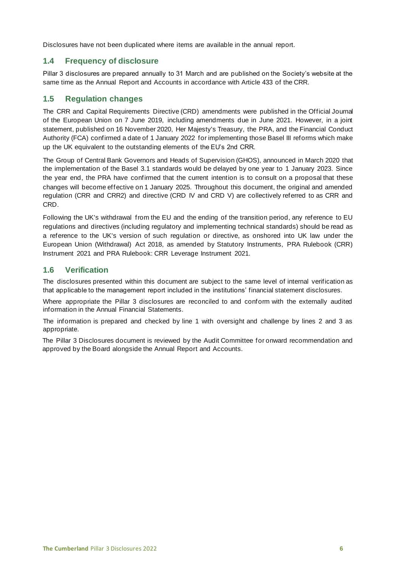Disclosures have not been duplicated where items are available in the annual report.

# <span id="page-5-0"></span>**1.4 Frequency of disclosure**

Pillar 3 disclosures are prepared annually to 31 March and are published on the Society's website at the same time as the Annual Report and Accounts in accordance with Article 433 of the CRR.

#### <span id="page-5-1"></span>**1.5 Regulation changes**

The CRR and Capital Requirements Directive (CRD) amendments were published in the Official Journal of the European Union on 7 June 2019, including amendments due in June 2021. However, in a joint statement, published on 16 November 2020, Her Majesty's Treasury, the PRA, and the Financial Conduct Authority (FCA) confirmed a date of 1 January 2022 for implementing those Basel III reforms which make up the UK equivalent to the outstanding elements of the EU's 2nd CRR.

The Group of Central Bank Governors and Heads of Supervision (GHOS), announced in March 2020 that the implementation of the Basel 3.1 standards would be delayed by one year to 1 January 2023. Since the year end, the PRA have confirmed that the current intention is to consult on a proposal that these changes will become effective on 1 January 2025. Throughout this document, the original and amended regulation (CRR and CRR2) and directive (CRD IV and CRD V) are collectively referred to as CRR and CRD.

Following the UK's withdrawal from the EU and the ending of the transition period, any reference to EU regulations and directives (including regulatory and implementing technical standards) should be read as a reference to the UK's version of such regulation or directive, as onshored into UK law under the European Union (Withdrawal) Act 2018, as amended by Statutory Instruments, PRA Rulebook (CRR) Instrument 2021 and PRA Rulebook: CRR Leverage Instrument 2021.

#### <span id="page-5-2"></span>**1.6 Verification**

The disclosures presented within this document are subject to the same level of internal verification as that applicable to the management report included in the institutions' financial statement disclosures.

Where appropriate the Pillar 3 disclosures are reconciled to and conform with the externally audited information in the Annual Financial Statements.

The information is prepared and checked by line 1 with oversight and challenge by lines 2 and 3 as appropriate.

The Pillar 3 Disclosures document is reviewed by the Audit Committee for onward recommendation and approved by the Board alongside the Annual Report and Accounts.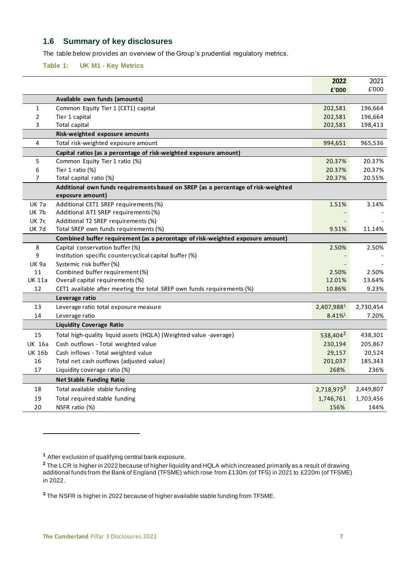# <span id="page-6-0"></span>**1.6 Summary of key disclosures**

The table below provides an overview of the Group's prudential regulatory metrics.

#### <span id="page-6-1"></span>**Table 1: UK M1 - Key Metrics**

|                |                                                                                   | 2022                   | 2021      |
|----------------|-----------------------------------------------------------------------------------|------------------------|-----------|
|                |                                                                                   | £'000                  | £'000     |
|                | Available own funds (amounts)                                                     |                        |           |
| $\mathbf{1}$   | Common Equity Tier 1 (CET1) capital                                               | 202,581                | 196,664   |
| $\overline{2}$ | Tier 1 capital                                                                    | 202,581                | 196,664   |
| 3              | Total capital                                                                     | 202,581                | 198,413   |
|                | Risk-weighted exposure amounts                                                    |                        |           |
| 4              | Total risk-weighted exposure amount                                               | 994,651                | 965,536   |
|                | Capital ratios (as a percentage of risk-weighted exposure amount)                 |                        |           |
| 5              | Common Equity Tier 1 ratio (%)                                                    | 20.37%                 | 20.37%    |
| 6              | Tier 1 ratio (%)                                                                  | 20.37%                 | 20.37%    |
| $\overline{7}$ | Total capital ratio (%)                                                           | 20.37%                 | 20.55%    |
|                | Additional own funds requirements based on SREP (as a percentage of risk-weighted |                        |           |
|                | exposure amount)                                                                  |                        |           |
| <b>UK 7a</b>   | Additional CET1 SREP requirements (%)                                             | 1.51%                  | 3.14%     |
| <b>UK 7b</b>   | Additional AT1 SREP requirements (%)                                              |                        |           |
| <b>UK 7c</b>   | Additional T2 SREP requirements (%)                                               |                        |           |
| <b>UK 7d</b>   | Total SREP own funds requirements (%)                                             | 9.51%                  | 11.14%    |
|                | Combined buffer requirement (as a percentage of risk-weighted exposure amount)    |                        |           |
| 8              | Capital conservation buffer (%)                                                   | 2.50%                  | 2.50%     |
| 9              | Institution specific countercyclical capital buffer (%)                           |                        |           |
| <b>UK 9a</b>   | Systemic risk buffer (%)                                                          |                        |           |
| 11             | Combined buffer requirement (%)                                                   | 2.50%                  | 2.50%     |
| UK 11a         | Overall capital requirements (%)                                                  | 12.01%                 | 13.64%    |
| 12             | CET1 available after meeting the total SREP own funds requirements (%)            | 10.86%                 | 9.23%     |
|                | Leverage ratio                                                                    |                        |           |
| 13             | Leverage ratio total exposure measure                                             | 2,407,9881             | 2,730,454 |
| 14             | Leverage ratio                                                                    | 8.41%                  | 7.20%     |
|                | <b>Liquidity Coverage Ratio</b>                                                   |                        |           |
| 15             | Total high-quality liquid assets (HQLA) (Weighted value -average)                 | 538,404 <sup>2</sup>   | 438,301   |
| <b>UK 16a</b>  | Cash outflows - Total weighted value                                              | 230,194                | 205,867   |
| <b>UK 16b</b>  | Cash inflows - Total weighted value                                               | 29,157                 | 20,524    |
| 16             | Total net cash outflows (adjusted value)                                          | 201,037                | 185,343   |
| 17             | Liquidity coverage ratio (%)                                                      | 268%                   | 236%      |
|                | <b>Net Stable Funding Ratio</b>                                                   |                        |           |
| 18             | Total available stable funding                                                    | 2,718,975 <sup>3</sup> | 2,449,807 |
| 19             | Total required stable funding                                                     | 1,746,761              | 1,703,456 |
| 20             | NSFR ratio (%)                                                                    | 156%                   | 144%      |
|                |                                                                                   |                        |           |

**<sup>3</sup>** The NSFR is higher in 2022 because of higher available stable funding from TFSME.

<span id="page-6-2"></span>**<sup>1</sup>** After exclusion of qualifying central bank exposure.

**<sup>2</sup>** The LCR is higher in 2022 because of higher liquidity and HQLA which increased primarily as a result of drawing additional funds from the Bank of England (TFSME) which rose from £130m (of TFS) in 2021 to £220m (of TFSME) in 2022.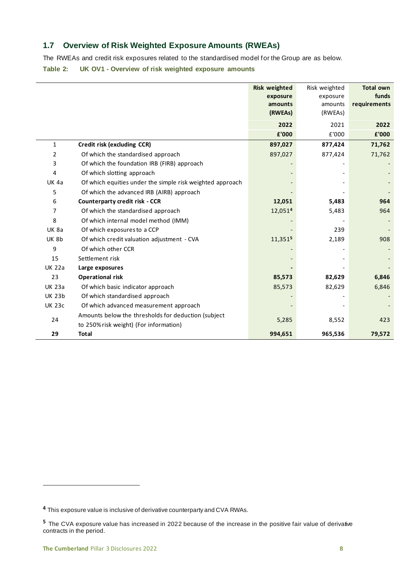# <span id="page-7-0"></span>**1.7 Overview of Risk Weighted Exposure Amounts (RWEAs)**

The RWEAs and credit risk exposures related to the standardised model for the Group are as below.

<span id="page-7-1"></span>**Table 2: UK OV1 - Overview of risk weighted exposure amounts**

|                |                                                           | <b>Risk weighted</b><br>exposure<br>amounts<br>(RWEAs) | Risk weighted<br>exposure<br>amounts<br>(RWEAs) | <b>Total own</b><br>funds<br>requirements |
|----------------|-----------------------------------------------------------|--------------------------------------------------------|-------------------------------------------------|-------------------------------------------|
|                |                                                           | 2022                                                   | 2021                                            | 2022                                      |
|                |                                                           | £'000                                                  | £'000                                           | £'000                                     |
| $\mathbf{1}$   | Credit risk (excluding CCR)                               | 897,027                                                | 877,424                                         | 71,762                                    |
| $\overline{2}$ | Of which the standardised approach                        | 897,027                                                | 877,424                                         | 71,762                                    |
| 3              | Of which the foundation IRB (FIRB) approach               |                                                        |                                                 |                                           |
| 4              | Of which slotting approach                                |                                                        |                                                 |                                           |
| <b>UK 4a</b>   | Of which equities under the simple risk weighted approach |                                                        |                                                 |                                           |
| 5              | Of which the advanced IRB (AIRB) approach                 |                                                        |                                                 |                                           |
| 6              | <b>Counterparty credit risk - CCR</b>                     | 12,051                                                 | 5,483                                           | 964                                       |
| 7              | Of which the standardised approach                        | 12,0514                                                | 5,483                                           | 964                                       |
| 8              | Of which internal model method (IMM)                      |                                                        |                                                 |                                           |
| <b>UK 8a</b>   | Of which exposures to a CCP                               |                                                        | 239                                             |                                           |
| <b>UK 8b</b>   | Of which credit valuation adjustment - CVA                | 11,3515                                                | 2,189                                           | 908                                       |
| 9              | Of which other CCR                                        |                                                        |                                                 |                                           |
| 15             | Settlement risk                                           |                                                        |                                                 |                                           |
| <b>UK 22a</b>  | Large exposures                                           |                                                        |                                                 |                                           |
| 23             | <b>Operational risk</b>                                   | 85,573                                                 | 82,629                                          | 6,846                                     |
| <b>UK 23a</b>  | Of which basic indicator approach                         | 85,573                                                 | 82,629                                          | 6,846                                     |
| <b>UK 23b</b>  | Of which standardised approach                            |                                                        |                                                 |                                           |
| <b>UK 23c</b>  | Of which advanced measurement approach                    |                                                        |                                                 |                                           |
|                | Amounts below the thresholds for deduction (subject       |                                                        |                                                 |                                           |
| 24             | to 250% risk weight) (For information)                    | 5,285                                                  | 8,552                                           | 423                                       |
| 29             | <b>Total</b>                                              | 994,651                                                | 965,536                                         | 79,572                                    |

**<sup>4</sup>** This exposure value is inclusive of derivative counterparty and CVA RWAs.

**<sup>5</sup>** The CVA exposure value has increased in 2022 because of the increase in the positive fair value of derivative contracts in the period.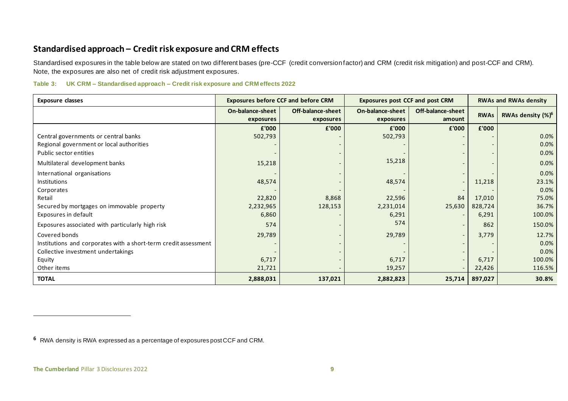# **Standardised approach – Credit risk exposure and CRM effects**

Standardised exposures in the table below are stated on two different bases (pre-CCF (credit conversion factor) and CRM (credit risk mitigation) and post-CCF and CRM). Note, the exposures are also net of credit risk adjustment exposures.

#### **Table 3: UK CRM – Standardised approach – Credit risk exposure and CRM effects 2022**

| <b>Exposure classes</b>                                         |                               | <b>Exposures before CCF and before CRM</b> | <b>Exposures post CCF and post CRM</b> |                             | <b>RWAs and RWAs density</b> |                               |  |
|-----------------------------------------------------------------|-------------------------------|--------------------------------------------|----------------------------------------|-----------------------------|------------------------------|-------------------------------|--|
|                                                                 | On-balance-sheet<br>exposures | Off-balance-sheet<br>exposures             | <b>On-balance-sheet</b><br>exposures   | Off-balance-sheet<br>amount | <b>RWAs</b>                  | RWAs density (%) <sup>6</sup> |  |
|                                                                 | £'000                         | £'000                                      | £'000                                  | £'000                       | £'000                        |                               |  |
| Central governments or central banks                            | 502,793                       |                                            | 502,793                                |                             |                              | 0.0%                          |  |
| Regional government or local authorities                        |                               |                                            |                                        |                             |                              | 0.0%                          |  |
| Public sector entities                                          |                               |                                            |                                        |                             |                              | 0.0%                          |  |
| Multilateral development banks                                  | 15,218                        |                                            | 15,218                                 |                             |                              | 0.0%                          |  |
| International organisations                                     |                               |                                            |                                        |                             |                              | 0.0%                          |  |
| Institutions                                                    | 48,574                        |                                            | 48,574                                 | $\overline{\phantom{a}}$    | 11,218                       | 23.1%                         |  |
| Corporates                                                      |                               |                                            |                                        |                             |                              | 0.0%                          |  |
| Retail                                                          | 22,820                        | 8,868                                      | 22,596                                 | 84                          | 17,010                       | 75.0%                         |  |
| Secured by mortgages on immovable property                      | 2,232,965                     | 128,153                                    | 2,231,014                              | 25,630                      | 828,724                      | 36.7%                         |  |
| Exposures in default                                            | 6,860                         |                                            | 6,291                                  |                             | 6,291                        | 100.0%                        |  |
| Exposures associated with particularly high risk                | 574                           |                                            | 574                                    |                             | 862                          | 150.0%                        |  |
| Covered bonds                                                   | 29,789                        |                                            | 29,789                                 | $\overline{\phantom{0}}$    | 3,779                        | 12.7%                         |  |
| Institutions and corporates with a short-term credit assessment |                               |                                            |                                        |                             |                              | 0.0%                          |  |
| Collective investment undertakings                              |                               |                                            |                                        |                             |                              | 0.0%                          |  |
| Equity                                                          | 6,717                         |                                            | 6,717                                  |                             | 6,717                        | 100.0%                        |  |
| Other items                                                     | 21,721                        |                                            | 19,257                                 |                             | 22,426                       | 116.5%                        |  |
| <b>TOTAL</b>                                                    | 2,888,031                     | 137,021                                    | 2,882,823                              | 25,714                      | 897,027                      | 30.8%                         |  |

<span id="page-8-0"></span>**<sup>6</sup>** RWA density is RWA expressed as a percentage of exposures post CCF and CRM.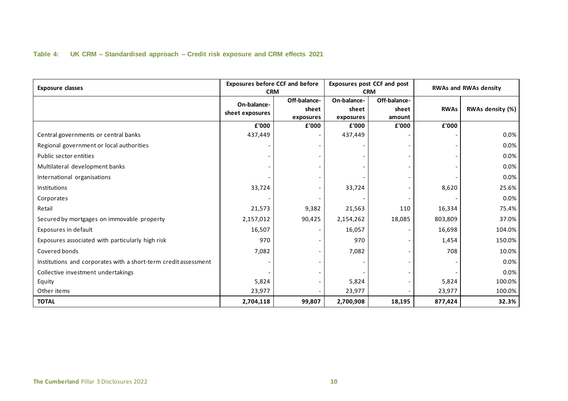#### **Table 4: UK CRM – Standardised approach – Credit risk exposure and CRM effects 2021**

<span id="page-9-0"></span>

| <b>Exposure classes</b>                                         | <b>Exposures before CCF and before</b><br><b>CRM</b> |                                    |                                   | <b>Exposures post CCF and post</b><br><b>CRM</b> | <b>RWAs and RWAs density</b> |                  |  |
|-----------------------------------------------------------------|------------------------------------------------------|------------------------------------|-----------------------------------|--------------------------------------------------|------------------------------|------------------|--|
|                                                                 | On-balance-<br>sheet exposures                       | Off-balance-<br>sheet<br>exposures | On-balance-<br>sheet<br>exposures | Off-balance-<br>sheet<br>amount                  | <b>RWAs</b>                  | RWAs density (%) |  |
|                                                                 | £'000                                                | £'000                              | £'000                             | £'000                                            | £'000                        |                  |  |
| Central governments or central banks                            | 437,449                                              |                                    | 437,449                           |                                                  |                              | 0.0%             |  |
| Regional government or local authorities                        |                                                      |                                    |                                   |                                                  |                              | $0.0\%$          |  |
| Public sector entities                                          |                                                      |                                    |                                   |                                                  |                              | 0.0%             |  |
| Multilateral development banks                                  |                                                      |                                    |                                   |                                                  |                              | 0.0%             |  |
| International organisations                                     |                                                      |                                    |                                   |                                                  |                              | 0.0%             |  |
| Institutions                                                    | 33,724                                               |                                    | 33,724                            |                                                  | 8,620                        | 25.6%            |  |
| Corporates                                                      |                                                      |                                    |                                   |                                                  |                              | 0.0%             |  |
| Retail                                                          | 21,573                                               | 9,382                              | 21,563                            | 110                                              | 16,334                       | 75.4%            |  |
| Secured by mortgages on immovable property                      | 2,157,012                                            | 90,425                             | 2,154,262                         | 18,085                                           | 803,809                      | 37.0%            |  |
| Exposures in default                                            | 16,507                                               |                                    | 16,057                            |                                                  | 16,698                       | 104.0%           |  |
| Exposures associated with particularly high risk                | 970                                                  |                                    | 970                               |                                                  | 1,454                        | 150.0%           |  |
| Covered bonds                                                   | 7,082                                                |                                    | 7,082                             |                                                  | 708                          | 10.0%            |  |
| Institutions and corporates with a short-term credit assessment |                                                      |                                    |                                   |                                                  |                              | 0.0%             |  |
| Collective investment undertakings                              |                                                      |                                    |                                   |                                                  |                              | 0.0%             |  |
| Equity                                                          | 5,824                                                |                                    | 5,824                             |                                                  | 5,824                        | 100.0%           |  |
| Other items                                                     | 23,977                                               |                                    | 23,977                            |                                                  | 23,977                       | 100.0%           |  |
| <b>TOTAL</b>                                                    | 2,704,118                                            | 99,807                             | 2,700,908                         | 18,195                                           | 877,424                      | 32.3%            |  |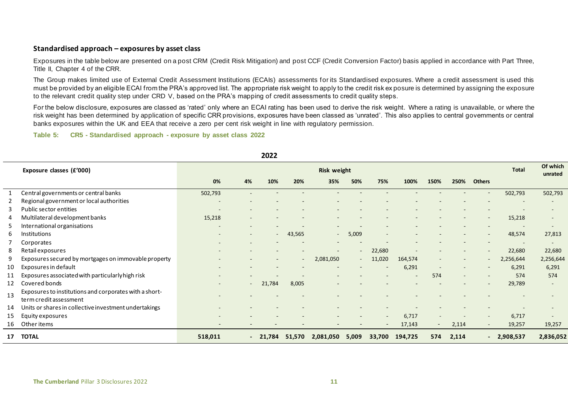#### **Standardised approach – exposures by asset class**

Exposures in the table below are presented on a post CRM (Credit Risk Mitigation) and post CCF (Credit Conversion Factor) basis applied in accordance with Part Three, Title II, Chapter 4 of the CRR.

The Group makes limited use of External Credit Assessment Institutions (ECAIs) assessments for its Standardised exposures. Where a credit assessment is used this must be provided by an eligible ECAI from the PRA's approved list. The appropriate risk weight to apply to the credit risk ex posure is determined by assigning the exposure to the relevant credit quality step under CRD V, based on the PRA's mapping of credit assessments to credit quality steps.

For the below disclosure, exposures are classed as 'rated' only where an ECAI rating has been used to derive the risk weight. Where a rating is unavailable, or where the risk weight has been determined by application of specific CRR provisions, exposures have been classed as 'unrated'. This also applies to central governments or central banks exposures within the UK and EEA that receive a zero per cent risk weight in line with regulatory permission.

#### **Table 5: CR5 - Standardised approach - exposure by asset class 2022**

<span id="page-10-0"></span>

|    |                                                        |                          |                  | LULL                     |                          |                    |                          |                          |         |        |                          |                          |                          |                          |
|----|--------------------------------------------------------|--------------------------|------------------|--------------------------|--------------------------|--------------------|--------------------------|--------------------------|---------|--------|--------------------------|--------------------------|--------------------------|--------------------------|
|    | Exposure classes (£'000)                               |                          |                  |                          |                          | <b>Risk weight</b> |                          |                          |         |        |                          |                          | <b>Total</b>             | Of which<br>unrated      |
|    |                                                        | 0%                       | 4%               | 10%                      | 20%                      | 35%                | 50%                      | 75%                      | 100%    | 150%   | 250%                     | <b>Others</b>            |                          |                          |
|    | Central governments or central banks                   | 502,793                  |                  |                          |                          |                    |                          |                          |         |        |                          |                          | 502,793                  | 502,793                  |
| 2  | Regional government or local authorities               | ٠                        |                  |                          |                          |                    |                          |                          |         |        |                          |                          |                          |                          |
| 3  | Public sector entities                                 | -                        |                  |                          |                          |                    |                          |                          |         |        |                          |                          |                          |                          |
| 4  | Multilateral development banks                         | 15,218                   |                  |                          |                          |                    |                          |                          |         |        |                          | $\overline{\phantom{m}}$ | 15,218                   |                          |
| 5  | International organisations                            | $\overline{\phantom{a}}$ |                  | $\overline{\phantom{0}}$ |                          |                    |                          |                          |         |        |                          |                          |                          |                          |
| 6  | <b>Institutions</b>                                    | -                        |                  | $\overline{\phantom{a}}$ | 43,565                   |                    | 5,009                    |                          |         |        |                          |                          | 48,574                   | 27,813                   |
|    | Corporates                                             |                          |                  |                          |                          |                    |                          |                          |         |        |                          |                          | $\overline{\phantom{a}}$ | $\overline{\phantom{a}}$ |
| 8  | Retail exposures                                       |                          |                  |                          |                          |                    | $\overline{\phantom{a}}$ | 22,680                   |         |        |                          | $\overline{\phantom{a}}$ | 22,680                   | 22,680                   |
| 9  | Exposures secured by mortgages on immovable property   |                          |                  |                          | $\overline{\phantom{a}}$ | 2,081,050          | $\sim$                   | 11,020                   | 164,574 |        |                          | $\overline{\phantom{m}}$ | 2,256,644                | 2,256,644                |
| 10 | Exposures in default                                   |                          |                  |                          |                          |                    |                          |                          | 6,291   |        |                          | $\overline{\phantom{a}}$ | 6,291                    | 6,291                    |
| 11 | Exposures associated with particularly high risk       |                          |                  |                          |                          |                    |                          |                          |         | 574    | $\overline{\phantom{a}}$ |                          | 574                      | 574                      |
| 12 | Covered bonds                                          |                          | $\sim$ 100 $\mu$ | 21,784                   | 8,005                    |                    |                          |                          |         |        |                          |                          | 29,789                   |                          |
| 13 | Exposures to institutions and corporates with a short- |                          |                  |                          |                          |                    |                          |                          |         |        |                          |                          |                          |                          |
|    | term credit assessment                                 |                          |                  |                          |                          |                    |                          |                          |         |        |                          |                          |                          |                          |
| 14 | Units or shares in collective investment undertakings  |                          |                  |                          |                          |                    |                          |                          |         |        |                          |                          |                          |                          |
| 15 | Equity exposures                                       |                          |                  |                          |                          |                    |                          | $\overline{\phantom{a}}$ | 6,717   |        |                          | $\overline{\phantom{a}}$ | 6,717                    |                          |
| 16 | Other items                                            |                          |                  |                          |                          |                    |                          |                          | 17,143  | $\sim$ | 2,114                    | $\sim$                   | 19,257                   | 19,257                   |
| 17 | <b>TOTAL</b>                                           | 518,011                  |                  | $-21,784$                | 51,570                   | 2,081,050          | 5,009                    | 33,700                   | 194,725 | 574    | 2,114                    | $\blacksquare$           | 2,908,537                | 2,836,052                |

**2022**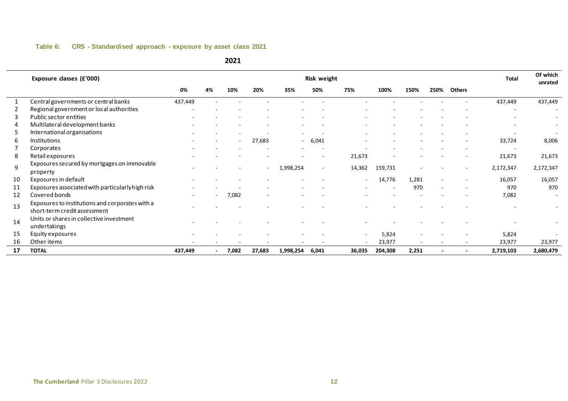#### **Table 6: CR5 - Standardised approach - exposure by asset class 2021**

<span id="page-11-0"></span>

|    | Exposure classes (£'000)                                                        |                          |                          |       |        |                          | <b>Risk weight</b>       |        |         |       |        |               | <b>Total</b>             | Of which<br>unrated      |
|----|---------------------------------------------------------------------------------|--------------------------|--------------------------|-------|--------|--------------------------|--------------------------|--------|---------|-------|--------|---------------|--------------------------|--------------------------|
|    |                                                                                 | 0%                       | 4%                       | 10%   | 20%    | 35%                      | 50%                      | 75%    | 100%    | 150%  | 250%   | <b>Others</b> |                          |                          |
| 1  | Central governments or central banks                                            | 437,449                  |                          |       |        |                          |                          |        |         |       |        |               | 437,449                  | 437,449                  |
| 2  | Regional government or local authorities                                        | ٠                        |                          |       |        |                          |                          |        |         |       |        |               | ٠                        | $\overline{\phantom{a}}$ |
| 3  | Public sector entities                                                          |                          |                          |       |        |                          |                          |        |         |       |        |               |                          |                          |
| 4  | Multilateral development banks                                                  |                          |                          |       |        |                          |                          |        |         |       |        |               |                          |                          |
| 5  | International organisations                                                     |                          |                          |       |        | $\overline{\phantom{a}}$ |                          |        |         |       |        |               | ٠                        |                          |
| 6  | <b>Institutions</b>                                                             |                          |                          |       | 27,683 | $\sim$                   | 6,041                    |        |         |       |        |               | 33,724                   | 8,006                    |
|    | Corporates                                                                      |                          |                          |       |        |                          |                          |        |         |       |        |               | $\overline{\phantom{a}}$ |                          |
| 8  | Retail exposures                                                                |                          |                          |       |        |                          | $\overline{\phantom{a}}$ | 21,673 |         |       |        |               | 21,673                   | 21,673                   |
| 9  | Exposures secured by mortgages on immovable<br>property                         |                          |                          |       |        | 1,998,254                | $\blacksquare$           | 14,362 | 159,731 |       |        |               | 2,172,347                | 2,172,347                |
| 10 | Exposures in default                                                            | ۰                        |                          |       |        | ۰                        |                          |        | 14,776  | 1,281 | $\sim$ |               | 16,057                   | 16,057                   |
| 11 | Exposures associated with particularly high risk                                |                          |                          |       |        |                          |                          |        |         | 970   |        |               | 970                      | 970                      |
| 12 | Covered bonds                                                                   |                          | $\overline{\phantom{0}}$ | 7,082 |        |                          |                          |        |         |       |        |               | 7,082                    |                          |
| 13 | Exposures to institutions and corporates with a<br>short-term credit assessment |                          |                          |       |        |                          |                          |        |         |       |        |               |                          |                          |
| 14 | Units or shares in collective investment<br>undertakings                        |                          |                          |       |        |                          |                          |        |         |       |        |               |                          |                          |
| 15 | Equity exposures                                                                |                          |                          |       |        |                          |                          |        | 5,824   |       |        |               | 5,824                    |                          |
| 16 | Other items                                                                     | $\overline{\phantom{a}}$ |                          |       |        |                          |                          |        | 23,977  | ۰     |        |               | 23,977                   | 23,977                   |
| 17 | <b>TOTAL</b>                                                                    | 437,449                  |                          | 7,082 | 27,683 | 1,998,254                | 6,041                    | 36,035 | 204,308 | 2,251 |        |               | 2,719,103                | 2,680,479                |

####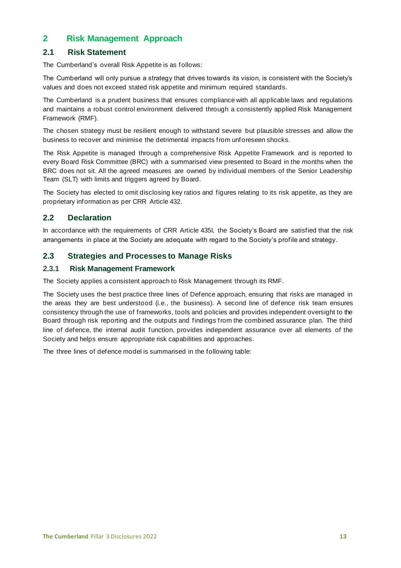# <span id="page-12-0"></span>**2 Risk Management Approach**

# <span id="page-12-1"></span>**2.1****Risk Statement**

The Cumberland's overall Risk Appetite is as follows:

The Cumberland will only pursue a strategy that drives towards its vision, is consistent with the Society's values and does not exceed stated risk appetite and minimum required standards.

The Cumberland is a prudent business that ensures compliance with all applicable laws and regulations and maintains a robust control environment delivered through a consistently applied Risk Management Framework (RMF).

The chosen strategy must be resilient enough to withstand severe but plausible stresses and allow the business to recover and minimise the detrimental impacts from unforeseen shocks.

The Risk Appetite is managed through a comprehensive Risk Appetite Framework and is reported to every Board Risk Committee (BRC) with a summarised view presented to Board in the months when the BRC does not sit. All the agreed measures are owned by individual members of the Senior Leadership Team (SLT) with limits and triggers agreed by Board.

The Society has elected to omit disclosing key ratios and figures relating to its risk appetite, as they are proprietary information as per CRR Article 432.

#### <span id="page-12-2"></span>**2.2 Declaration**

In accordance with the requirements of CRR Article 435I, the Society's Board are satisfied that the risk arrangements in place at the Society are adequate with regard to the Society's profile and strategy.

# <span id="page-12-3"></span>**2.3 Strategies and Processes to Manage Risks**

#### <span id="page-12-4"></span>**2.3.1 Risk Management Framework**

The Society applies a consistent approach to Risk Management through its RMF.

The Society uses the best practice three lines of Defence approach, ensuring that risks are managed in the areas they are best understood (i.e., the business). A second line of defence risk team ensures consistency through the use of frameworks, tools and policies and provides independent oversight to the Board through risk reporting and the outputs and findings from the combined assurance plan. The third line of defence, the internal audit function, provides independent assurance over all elements of the Society and helps ensure appropriate risk capabilities and approaches.

The three lines of defence model is summarised in the following table: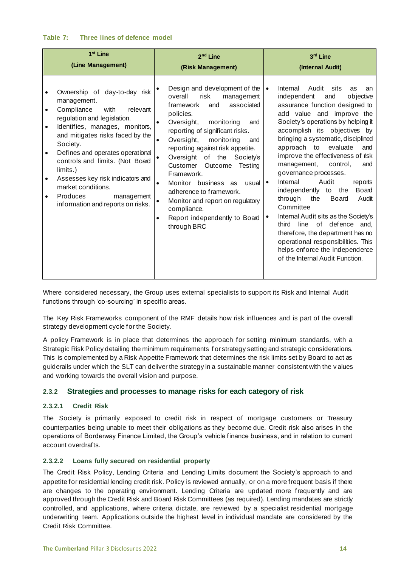#### <span id="page-13-3"></span>**Table 7: Three lines of defence model**

| 1 <sup>st</sup> Line                                                                                                                                                                                                                                                                                                                                                                                                                                                        | 2 <sup>nd</sup> Line                                                                                                                                                                                                                                                                                                                                                                                                                                                                                                                                                                    | 3rd Line                                                                                                                                                                                                                                                                                                                                                                                                                                                                                                                                                                                                                                                                                                                                                                      |
|-----------------------------------------------------------------------------------------------------------------------------------------------------------------------------------------------------------------------------------------------------------------------------------------------------------------------------------------------------------------------------------------------------------------------------------------------------------------------------|-----------------------------------------------------------------------------------------------------------------------------------------------------------------------------------------------------------------------------------------------------------------------------------------------------------------------------------------------------------------------------------------------------------------------------------------------------------------------------------------------------------------------------------------------------------------------------------------|-------------------------------------------------------------------------------------------------------------------------------------------------------------------------------------------------------------------------------------------------------------------------------------------------------------------------------------------------------------------------------------------------------------------------------------------------------------------------------------------------------------------------------------------------------------------------------------------------------------------------------------------------------------------------------------------------------------------------------------------------------------------------------|
| (Line Management)                                                                                                                                                                                                                                                                                                                                                                                                                                                           | (Risk Management)                                                                                                                                                                                                                                                                                                                                                                                                                                                                                                                                                                       | (Internal Audit)                                                                                                                                                                                                                                                                                                                                                                                                                                                                                                                                                                                                                                                                                                                                                              |
| Ownership of day-to-day risk<br>management.<br>Compliance<br>with<br>relevant<br>$\bullet$<br>regulation and legislation.<br>Identifies, manages, monitors,<br>$\bullet$<br>and mitigates risks faced by the<br>Society.<br>Defines and operates operational<br>$\bullet$<br>controls and limits. (Not Board<br>limits.)<br>Assesses key risk indicators and<br>$\bullet$<br>market conditions.<br>Produces<br>management<br>$\bullet$<br>information and reports on risks. | Design and development of the<br>overall<br>risk<br>management<br>framework<br>associated<br>and<br>policies.<br>Oversight,<br>monitoring<br>and<br>$\bullet$<br>reporting of significant risks.<br>Oversight,<br>monitoring<br>and<br>$\bullet$<br>reporting against risk appetite.<br>Oversight of the Society's<br>$\bullet$<br>Customer<br>Outcome<br>Testing<br>Framework.<br>Monitor business<br>usual<br>as<br>$\bullet$<br>adherence to framework.<br>Monitor and report on regulatory<br>$\bullet$<br>compliance.<br>Report independently to Board<br>$\bullet$<br>through BRC | Internal<br>Audit<br>sits<br>as<br>$\bullet$<br>an<br>objective<br>independent<br>and<br>assurance function designed to<br>add value and improve the<br>Society's operations by helping it<br>accomplish its objectives by<br>bringing a systematic, disciplined<br>evaluate<br>approach to<br>and<br>improve the effectiveness of risk<br>management,<br>control.<br>and<br>governance processes.<br>Audit<br>Internal<br>reports<br>$\bullet$<br>independently to<br><b>Board</b><br>the<br>through<br>the<br><b>Board</b><br>Audit<br>Committee<br>Internal Audit sits as the Society's<br>of defence and,<br>third<br>line<br>therefore, the department has no<br>operational responsibilities. This<br>helps enforce the independence<br>of the Internal Audit Function. |

Where considered necessary, the Group uses external specialists to support its Risk and Internal Audit functions through 'co-sourcing' in specific areas.

The Key Risk Frameworks component of the RMF details how risk influences and is part of the overall strategy development cycle for the Society.

A policy Framework is in place that determines the approach for setting minimum standards, with a Strategic Risk Policy detailing the minimum requirements f or strategy setting and strategic considerations. This is complemented by a Risk Appetite Framework that determines the risk limits set by Board to act as guiderails under which the SLT can deliver the strategy in a sustainable manner consistent with the v alues and working towards the overall vision and purpose.

#### <span id="page-13-0"></span>**2.3.2 Strategies and processes to manage risks for each category of risk**

#### <span id="page-13-1"></span>**2.3.2.1****Credit Risk**

The Society is primarily exposed to credit risk in respect of mortgage customers or Treasury counterparties being unable to meet their obligations as they become due. Credit risk also arises in the operations of Borderway Finance Limited, the Group's vehicle finance business, and in relation to current account overdrafts.

#### <span id="page-13-2"></span>**2.3.2.2 Loans fully secured on residential property**

The Credit Risk Policy, Lending Criteria and Lending Limits document the Society's approach to and appetite for residential lending credit risk. Policy is reviewed annually, or on a more frequent basis if there are changes to the operating environment. Lending Criteria are updated more frequently and are approved through the Credit Risk and Board Risk Committees (as required). Lending mandates are strictly controlled, and applications, where criteria dictate, are reviewed by a specialist residential mortgage underwriting team. Applications outside the highest level in individual mandate are considered by the Credit Risk Committee.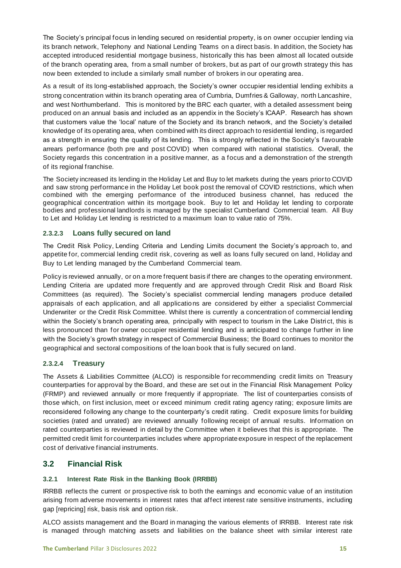The Society's principal focus in lending secured on residential property, is on owner occupier lending via its branch network, Telephony and National Lending Teams on a direct basis. In addition, the Society has accepted introduced residential mortgage business, historically this has been almost all located outside of the branch operating area, from a small number of brokers, but as part of our growth strategy this has now been extended to include a similarly small number of brokers in our operating area.

As a result of its long-established approach, the Society's owner occupier residential lending exhibits a strong concentration within its branch operating area of Cumbria, Dumfries & Galloway, north Lancashire, and west Northumberland. This is monitored by the BRC each quarter, with a detailed assessment being produced on an annual basis and included as an appendix in the Society's ICAAP. Research has shown that customers value the 'local' nature of the Society and its branch network, and the Society's detailed knowledge of its operating area, when combined with its direct approach to residential lending, is regarded as a strength in ensuring the quality of its lending. This is strongly reflected in the Society's favourable arrears performance (both pre and post COVID) when compared with national statistics. Overall, the Society regards this concentration in a positive manner, as a focus and a demonstration of the strength of its regional franchise.

The Society increased its lending in the Holiday Let and Buy to let markets during the years prior to COVID and saw strong performance in the Holiday Let book post the removal of COVID restrictions, which when combined with the emerging performance of the introduced business channel, has reduced the geographical concentration within its mortgage book. Buy to let and Holiday let lending to corporate bodies and professional landlords is managed by the specialist Cumberland Commercial team. All Buy to Let and Holiday Let lending is restricted to a maximum loan to value ratio of 75%.

#### <span id="page-14-0"></span>**2.3.2.3 Loans fully secured on land**

The Credit Risk Policy, Lending Criteria and Lending Limits document the Society's approach to, and appetite for, commercial lending credit risk, covering as well as loans fully secured on land, Holiday and Buy to Let lending managed by the Cumberland Commercial team.

Policy is reviewed annually, or on a more frequent basis if there are changes to the operating environment. Lending Criteria are updated more frequently and are approved through Credit Risk and Board Risk Committees (as required). The Society's specialist commercial lending managers produce detailed appraisals of each application, and all applications are considered by either a specialist Commercial Underwriter or the Credit Risk Committee. Whilst there is currently a concentration of commercial lending within the Society's branch operating area, principally with respect to tourism in the Lake District, this is less pronounced than for owner occupier residential lending and is anticipated to change further in line with the Society's growth strategy in respect of Commercial Business; the Board continues to monitor the geographical and sectoral compositions of the loan book that is fully secured on land.

#### <span id="page-14-1"></span>**2.3.2.4 Treasury**

The Assets & Liabilities Committee (ALCO) is responsible for recommending credit limits on Treasury counterparties for approval by the Board, and these are set out in the Financial Risk Management Policy (FRMP) and reviewed annually or more frequently if appropriate. The list of counterparties consists of those which, on first inclusion, meet or exceed minimum credit rating agency rating; exposure limits are reconsidered following any change to the counterparty's credit rating. Credit exposure limits for building societies (rated and unrated) are reviewed annually following receipt of annual results. Information on rated counterparties is reviewed in detail by the Committee when it believes that this is appropriate. The permitted credit limit for counterparties includes where appropriate exposure in respect of the replacement cost of derivative financial instruments.

# <span id="page-14-2"></span>**3.2 Financial Risk**

#### <span id="page-14-3"></span>**3.2.1 Interest Rate Risk in the Banking Book (IRRBB)**

IRRBB reflects the current or prospective risk to both the earnings and economic value of an institution arising from adverse movements in interest rates that affect interest rate sensitive instruments, including gap [repricing] risk, basis risk and option risk.

ALCO assists management and the Board in managing the various elements of IRRBB. Interest rate risk is managed through matching assets and liabilities on the balance sheet with similar interest rate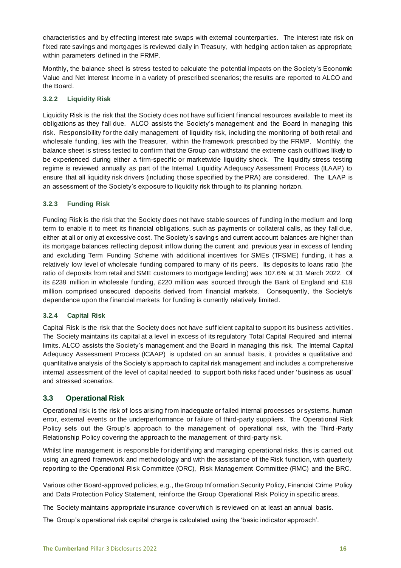characteristics and by effecting interest rate swaps with external counterparties. The interest rate risk on fixed rate savings and mortgages is reviewed daily in Treasury, with hedging action taken as appropriate, within parameters defined in the FRMP.

Monthly, the balance sheet is stress tested to calculate the potential impacts on the Society's Economic Value and Net Interest Income in a variety of prescribed scenarios; the results are reported to ALCO and the Board.

#### <span id="page-15-0"></span>**3.2.2 Liquidity Risk**

Liquidity Risk is the risk that the Society does not have sufficient financial resources available to meet its obligations as they fall due. ALCO assists the Society's management and the Board in managing this risk. Responsibility for the daily management of liquidity risk, including the monitoring of both retail and wholesale funding, lies with the Treasurer, within the framework prescribed by the FRMP. Monthly, the balance sheet is stress tested to confirm that the Group can withstand the extreme cash outflows likely to be experienced during either a firm-specific or marketwide liquidity shock. The liquidity stress testing regime is reviewed annually as part of the Internal Liquidity Adequacy Assessment Process (ILAAP) to ensure that all liquidity risk drivers (including those specified by the PRA) are considered. The ILAAP is an assessment of the Society's exposure to liquidity risk through to its planning horizon.

#### <span id="page-15-1"></span>**3.2.3 Funding Risk**

Funding Risk is the risk that the Society does not have stable sources of funding in the medium and long term to enable it to meet its financial obligations, such as payments or collateral calls, as they fall due, either at all or only at excessive cost. The Society's savings and current account balances are higher than its mortgage balances reflecting deposit inflow during the current and previous year in excess of lending and excluding Term Funding Scheme with additional incentives for SMEs (TFSME) funding, it has a relatively low level of wholesale funding compared to many of its peers. Its deposits to loans ratio (the ratio of deposits from retail and SME customers to mortgage lending) was 107.6% at 31 March 2022. Of its £238 million in wholesale funding, £220 million was sourced through the Bank of England and £18 million comprised unsecured deposits derived from financial markets. Consequently, the Society's dependence upon the financial markets for funding is currently relatively limited.

#### <span id="page-15-2"></span>**3.2.4 Capital Risk**

Capital Risk is the risk that the Society does not have sufficient capital to support its business activities. The Society maintains its capital at a level in excess of its regulatory Total Capital Required and internal limits. ALCO assists the Society's management and the Board in managing this risk. The Internal Capital Adequacy Assessment Process (ICAAP) is updated on an annual basis, it provides a qualitative and quantitative analysis of the Society's approach to capital risk management and includes a comprehensive internal assessment of the level of capital needed to support both risks faced under 'business as usual' and stressed scenarios.

#### <span id="page-15-3"></span>**3.3 Operational Risk**

Operational risk is the risk of loss arising from inadequate or failed internal processes or systems, human error, external events or the underperformance or failure of third-party suppliers. The Operational Risk Policy sets out the Group's approach to the management of operational risk, with the Third -Party Relationship Policy covering the approach to the management of third -party risk.

Whilst line management is responsible for identifying and managing operational risks, this is carried out using an agreed framework and methodology and with the assistance of the Risk function, with quarterly reporting to the Operational Risk Committee (ORC), Risk Management Committee (RMC) and the BRC.

Various other Board-approved policies, e.g., the Group Information Security Policy, Financial Crime Policy and Data Protection Policy Statement, reinforce the Group Operational Risk Policy in specific areas.

The Society maintains appropriate insurance cover which is reviewed on at least an annual basis.

The Group's operational risk capital charge is calculated using the 'basic indicator approach'.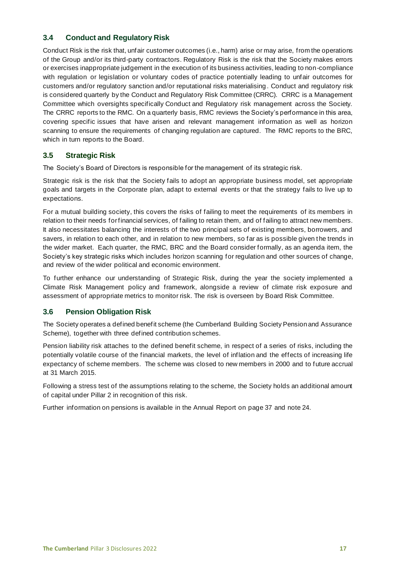# <span id="page-16-0"></span>**3.4 Conduct and Regulatory Risk**

Conduct Risk is the risk that, unfair customer outcomes (i.e., harm) arise or may arise, from the operations of the Group and/or its third-party contractors. Regulatory Risk is the risk that the Society makes errors or exercises inappropriate judgement in the execution of its business activities, leading to non-compliance with regulation or legislation or voluntary codes of practice potentially leading to unfair outcomes for customers and/or regulatory sanction and/or reputational risks materialising . Conduct and regulatory risk is considered quarterly by the Conduct and Regulatory Risk Committee (CRRC). CRRC is a Management Committee which oversights specifically Conduct and Regulatory risk management across the Society. The CRRC reports to the RMC. On a quarterly basis, RMC reviews the Society's performance in this area, covering specific issues that have arisen and relevant management information as well as horizon scanning to ensure the requirements of changing regulation are captured. The RMC reports to the BRC, which in turn reports to the Board.

#### <span id="page-16-1"></span>**3.5 Strategic Risk**

The Society's Board of Directors is responsible for the management of its strategic risk.

Strategic risk is the risk that the Society fails to adopt an appropriate business model, set appropriate goals and targets in the Corporate plan, adapt to external events or that the strategy fails to live up to expectations.

For a mutual building society, this covers the risks of failing to meet the requirements of its members in relation to their needs for financial services, of failing to retain them, and of failing to attract new members. It also necessitates balancing the interests of the two principal sets of existing members, borrowers, and savers, in relation to each other, and in relation to new members, so far as is possible given the trends in the wider market. Each quarter, the RMC, BRC and the Board consider formally, as an agenda item, the Society's key strategic risks which includes horizon scanning for regulation and other sources of change, and review of the wider political and economic environment.

To further enhance our understanding of Strategic Risk, during the year the society implemented a Climate Risk Management policy and framework, alongside a review of climate risk exposure and assessment of appropriate metrics to monitor risk. The risk is overseen by Board Risk Committee.

#### <span id="page-16-2"></span>**3.6 Pension Obligation Risk**

The Society operates a defined benefit scheme (the Cumberland Building Society Pension and Assurance Scheme), together with three defined contribution schemes.

Pension liability risk attaches to the defined benefit scheme, in respect of a series of risks, including the potentially volatile course of the financial markets, the level of inflation and the effects of increasing life expectancy of scheme members. The scheme was closed to new members in 2000 and to future accrual at 31 March 2015.

Following a stress test of the assumptions relating to the scheme, the Society holds an additional amount of capital under Pillar 2 in recognition of this risk.

Further information on pensions is available in the Annual Report on page 37 and note 24.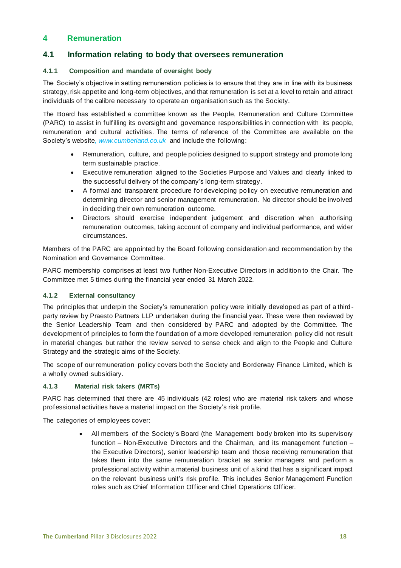# <span id="page-17-0"></span>**4 Remuneration**

# <span id="page-17-1"></span>**4.1 Information relating to body that oversees remuneration**

#### <span id="page-17-2"></span>**4.1.1****Composition and mandate of oversight body**

The Society's objective in setting remuneration policies is to ensure that they are in line with its business strategy, risk appetite and long-term objectives, and that remuneration is set at a level to retain and attract individuals of the calibre necessary to operate an organisation such as the Society.

The Board has established a committee known as the People, Remuneration and Culture Committee (PARC) to assist in fulfilling its oversight and governance responsibilities in connection with its people, remuneration and cultural activities. The terms of reference of the Committee are available on the Society's website*, www.cumberland.co.uk* and include the following:

- Remuneration, culture, and people policies designed to support strategy and promote long term sustainable practice.
- Executive remuneration aligned to the Societies Purpose and Values and clearly linked to the successful delivery of the company's long-term strategy.
- A formal and transparent procedure for developing policy on executive remuneration and determining director and senior management remuneration. No director should be involved in deciding their own remuneration outcome.
- Directors should exercise independent judgement and discretion when authorising remuneration outcomes, taking account of company and individual performance, and wider circumstances.

Members of the PARC are appointed by the Board following consideration and recommendation by the Nomination and Governance Committee.

PARC membership comprises at least two further Non-Executive Directors in addition to the Chair. The Committee met 5 times during the financial year ended 31 March 2022.

#### <span id="page-17-3"></span>**4.1.2****External consultancy**

The principles that underpin the Society's remuneration policy were initially developed as part of a thirdparty review by Praesto Partners LLP undertaken during the financial year. These were then reviewed by the Senior Leadership Team and then considered by PARC and adopted by the Committee. The development of principles to form the foundation of a more developed remuneration policy did not result in material changes but rather the review served to sense check and align to the People and Culture Strategy and the strategic aims of the Society.

The scope of our remuneration policy covers both the Society and Borderway Finance Limited, which is a wholly owned subsidiary.

#### **4.1.3****Material risk takers (MRTs)**

PARC has determined that there are 45 individuals (42 roles) who are material risk takers and whose professional activities have a material impact on the Society's risk profile.

The categories of employees cover:

• All members of the Society's Board (the Management body broken into its supervisory function – Non-Executive Directors and the Chairman, and its management function – the Executive Directors), senior leadership team and those receiving remuneration that takes them into the same remuneration bracket as senior managers and perform a professional activity within a material business unit of a kind that has a significant impact on the relevant business unit's risk profile. This includes Senior Management Function roles such as Chief Information Officer and Chief Operations Officer.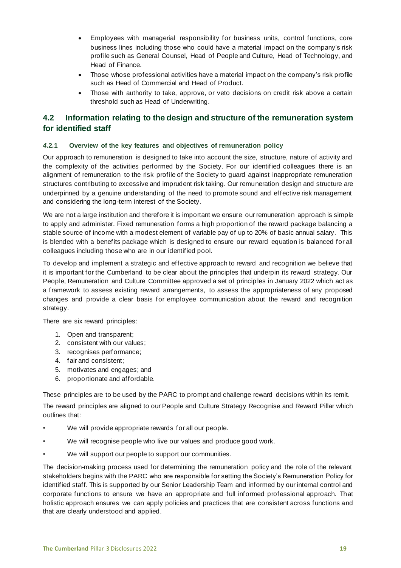- Employees with managerial responsibility for business units, control functions, core business lines including those who could have a material impact on the company's risk profile such as General Counsel, Head of People and Culture, Head of Technology, and Head of Finance.
- Those whose professional activities have a material impact on the company's risk profile such as Head of Commercial and Head of Product.
- Those with authority to take, approve, or veto decisions on credit risk above a certain threshold such as Head of Underwriting.

# <span id="page-18-0"></span>**4.2 Information relating to the design and structure of the remuneration system for identified staff**

#### <span id="page-18-1"></span>*4***.2.1****Overview of the key features and objectives of remuneration policy**

Our approach to remuneration is designed to take into account the size, structure, nature of activity and the complexity of the activities performed by the Society. For our identified colleagues there is an alignment of remuneration to the risk profile of the Society to guard against inappropriate remuneration structures contributing to excessive and imprudent risk taking. Our remuneration design and structure are underpinned by a genuine understanding of the need to promote sound and effective risk management and considering the long-term interest of the Society.

We are not a large institution and therefore it is important we ensure our remuneration approach is simple to apply and administer. Fixed remuneration forms a high proportion of the reward package balancing a stable source of income with a modest element of variable pay of up to 20% of basic annual salary. This is blended with a benefits package which is designed to ensure our reward equation is balanced for all colleagues including those who are in our identified pool.

To develop and implement a strategic and effective approach to reward and recognition we believe that it is important for the Cumberland to be clear about the principles that underpin its reward strategy. Our People, Remuneration and Culture Committee approved a set of princip les in January 2022 which act as a framework to assess existing reward arrangements, to assess the appropriateness of any proposed changes and provide a clear basis for employee communication about the reward and recognition strategy.

There are six reward principles:

- 1. Open and transparent;
- 2. consistent with our values;
- 3. recognises performance;
- 4. fair and consistent;
- 5. motivates and engages; and
- 6. proportionate and affordable.

These principles are to be used by the PARC to prompt and challenge reward decisions within its remit.

The reward principles are aligned to our People and Culture Strategy Recognise and Reward Pillar which outlines that:

- We will provide appropriate rewards for all our people.
- We will recognise people who live our values and produce good work.
- We will support our people to support our communities.

The decision-making process used for determining the remuneration policy and the role of the relevant stakeholders begins with the PARC who are responsible for setting the Society's Remuneration Policy for identified staff. This is supported by our Senior Leadership Team and informed by our internal control and corporate functions to ensure we have an appropriate and full informed professional approach. That holistic approach ensures we can apply policies and practices that are consistent across functions and that are clearly understood and applied.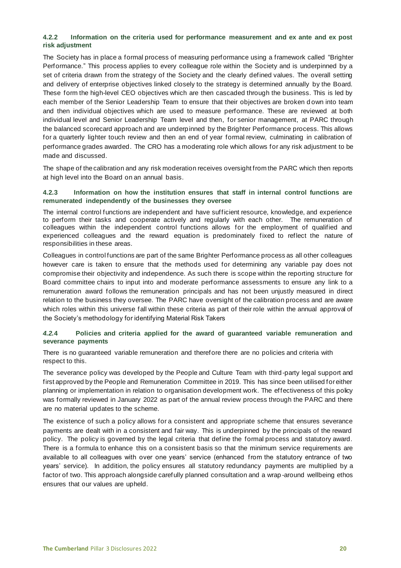#### <span id="page-19-0"></span>**4.2.2 Information on the criteria used for performance measurement and ex ante and ex post risk adjustment**

The Society has in place a formal process of measuring performance using a framework called "Brighter Performance." This process applies to every colleague role within the Society and is underpinned by a set of criteria drawn from the strategy of the Society and the clearly defined values. The overall setting and delivery of enterprise objectives linked closely to the strategy is determined annually by the Board. These form the high-level CEO objectives which are then cascaded through the business. This is led by each member of the Senior Leadership Team to ensure that their objectives are broken d own into team and then individual objectives which are used to measure performance. These are reviewed at both individual level and Senior Leadership Team level and then, for senior management, at PARC through the balanced scorecard approach and are underpinned by the Brighter Performance process. This allows for a quarterly lighter touch review and then an end of year formal review, culminating in calibration of performance grades awarded. The CRO has a moderating role which allows for any risk adjustment to be made and discussed.

The shape of the calibration and any risk moderation receives oversight from the PARC which then reports at high level into the Board on an annual basis.

#### <span id="page-19-1"></span>**4.2.3****Information on how the institution ensures that staff in internal control functions are remunerated independently of the businesses they oversee**

The internal control functions are independent and have sufficient resource, knowledge, and experience to perform their tasks and cooperate actively and regularly with each other. The remuneration of colleagues within the independent control functions allows for the employment of qualified and experienced colleagues and the reward equation is predominately fixed to reflect the nature of responsibilities in these areas.

Colleagues in control functions are part of the same Brighter Performance process as all other colleagues however care is taken to ensure that the methods used for determining any variable pay does not compromise their objectivity and independence. As such there is scope within the reporting structure for Board committee chairs to input into and moderate performance assessments to ensure any link to a remuneration award follows the remuneration principals and has not been unjustly measured in direct relation to the business they oversee. The PARC have oversight of the calibration process and are aware which roles within this universe fall within these criteria as part of their role within the annual approval of the Society's methodology for identifying Material Risk Takers

#### <span id="page-19-2"></span>*4.2.***4 Policies and criteria applied for the award of guaranteed variable remuneration and severance payments**

There is no guaranteed variable remuneration and therefore there are no policies and criteria with respect to this.

The severance policy was developed by the People and Culture Team with third-party legal support and first approved by the People and Remuneration Committee in 2019. This has since been utilised for either planning or implementation in relation to organisation development work. The effectiveness of this policy was formally reviewed in January 2022 as part of the annual review process through the PARC and there are no material updates to the scheme.

The existence of such a policy allows for a consistent and appropriate scheme that ensures severance payments are dealt with in a consistent and fair way. This is underpinned by the principals of the reward policy. The policy is governed by the legal criteria that define the formal process and statutory award. There is a formula to enhance this on a consistent basis so that the minimum service requirements are available to all colleagues with over one years' service (enhanced from the statutory entrance of two years' service). In addition, the policy ensures all statutory redundancy payments are multiplied by a factor of two. This approach alongside carefully planned consultation and a wrap -around wellbeing ethos ensures that our values are upheld.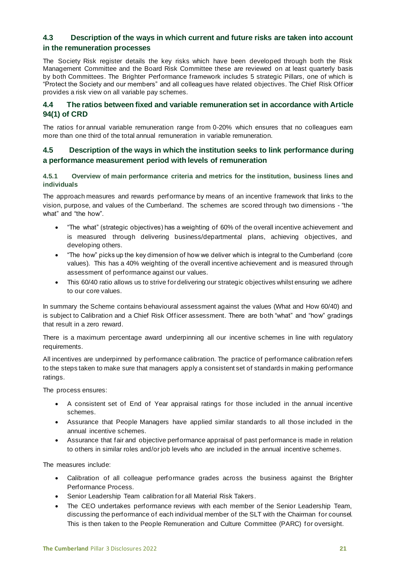# <span id="page-20-0"></span>**4.3 Description of the ways in which current and future risks are taken into account in the remuneration processes**

The Society Risk register details the key risks which have been developed through both the Risk Management Committee and the Board Risk Committee these are reviewed on at least quarterly basis by both Committees. The Brighter Performance framework includes 5 strategic Pillars, one of which is "Protect the Society and our members" and all colleagues have related objectives. The Chief Risk Officer provides a risk view on all variable pay schemes.

# <span id="page-20-1"></span>**4.4 The ratios between fixed and variable remuneration set in accordance with Article 94(1) of CRD**

The ratios for annual variable remuneration range from 0-20% which ensures that no colleagues earn more than one third of the total annual remuneration in variable remuneration.

# <span id="page-20-2"></span>**4.5 Description of the ways in which the institution seeks to link performance during a performance measurement period with levels of remuneration**

#### <span id="page-20-3"></span>**4.5.1****Overview of main performance criteria and metrics for the institution, business lines and individuals**

The approach measures and rewards performance by means of an incentive framework that links to the vision, purpose, and values of the Cumberland. The schemes are scored through two dimensions - "the what" and "the how".

- "The what" (strategic objectives) has a weighting of 60% of the overall incentive achievement and is measured through delivering business/departmental plans, achieving objectives, and developing others.
- "The how" picks up the key dimension of how we deliver which is integral to the Cumberland (core values). This has a 40% weighting of the overall incentive achievement and is measured through assessment of performance against our values.
- This 60/40 ratio allows us to strive for delivering our strategic objectives whilst ensuring we adhere to our core values.

In summary the Scheme contains behavioural assessment against the values (What and How 60/40) and is subject to Calibration and a Chief Risk Officer assessment. There are both "what" and "how" gradings that result in a zero reward.

There is a maximum percentage award underpinning all our incentive schemes in line with regulatory requirements.

All incentives are underpinned by performance calibration. The practice of performance calibration refers to the steps taken to make sure that managers apply a consistent set of standards in making performance ratings.

The process ensures:

- A consistent set of End of Year appraisal ratings for those included in the annual incentive schemes.
- Assurance that People Managers have applied similar standards to all those included in the annual incentive schemes.
- Assurance that fair and objective performance appraisal of past performance is made in relation to others in similar roles and/or job levels who are included in the annual incentive schemes.

The measures include:

- Calibration of all colleague performance grades across the business against the Brighter Performance Process.
- Senior Leadership Team calibration for all Material Risk Takers.
- The CEO undertakes performance reviews with each member of the Senior Leadership Team, discussing the performance of each individual member of the SLT with the Chairman for counsel. This is then taken to the People Remuneration and Culture Committee (PARC) for oversight.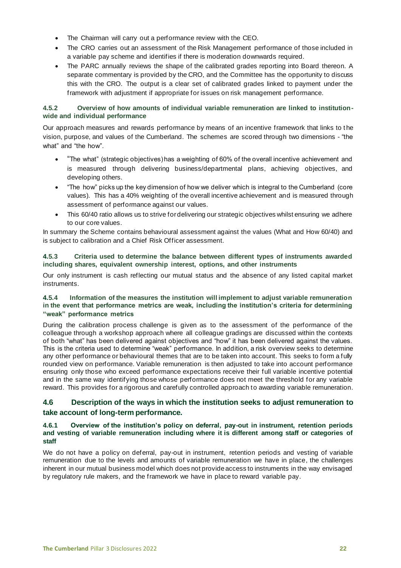- The Chairman will carry out a performance review with the CEO.
- The CRO carries out an assessment of the Risk Management performance of those included in a variable pay scheme and identifies if there is moderation downwards required.
- The PARC annually reviews the shape of the calibrated grades reporting into Board thereon. A separate commentary is provided by the CRO, and the Committee has the opportunity to discuss this with the CRO. The output is a clear set of calibrated grades linked to payment under the framework with adjustment if appropriate for issues on risk management performance.

#### <span id="page-21-0"></span>**4.5.2****Overview of how amounts of individual variable remuneration are linked to institutionwide and individual performance**

Our approach measures and rewards performance by means of an incentive framework that links to t he vision, purpose, and values of the Cumberland. The schemes are scored through two dimensions - "the what" and "the how".

- "The what" (strategic objectives) has a weighting of 60% of the overall incentive achievement and is measured through delivering business/departmental plans, achieving objectives, and developing others.
- "The how" picks up the key dimension of how we deliver which is integral to the Cumberland (core values). This has a 40% weighting of the overall incentive achievement and is measured through assessment of performance against our values.
- This 60/40 ratio allows us to strive for delivering our strategic objectives whilst ensuring we adhere to our core values.

In summary the Scheme contains behavioural assessment against the values (What and How 60/40) and is subject to calibration and a Chief Risk Officer assessment.

#### <span id="page-21-1"></span>**4.5.3****Criteria used to determine the balance between different types of instruments awarded including shares, equivalent ownership interest, options, and other instruments**

Our only instrument is cash reflecting our mutual status and the absence of any listed capital market instruments.

#### <span id="page-21-2"></span>**4.5.4****Information of the measures the institution will implement to adjust variable remuneration in the event that performance metrics are weak, including the institution's criteria for determining "weak" performance metrics**

During the calibration process challenge is given as to the assessment of the performance of the colleague through a workshop approach where all colleague gradings are discussed within the contexts of both "what" has been delivered against objectives and "how" it has been delivered against the values. This is the criteria used to determine "weak" performance. In addition, a risk overview seeks to determine any other performance or behavioural themes that are to be taken into account. This seeks to form a fully rounded view on performance. Variable remuneration is then adjusted to take into account performance ensuring only those who exceed performance expectations receive their full variable incentive potential and in the same way identifying those whose performance does not meet the threshold for any variable reward. This provides for a rigorous and carefully controlled approach to awarding variable remuneration.

#### <span id="page-21-3"></span>**4.6 Description of the ways in which the institution seeks to adjust remuneration to take account of long-term performance.**

#### <span id="page-21-4"></span>**4.6.1****Overview of the institution's policy on deferral, pay-out in instrument, retention periods and vesting of variable remuneration including where it is different among staff or categories of staff**

We do not have a policy on deferral, pay-out in instrument, retention periods and vesting of variable remuneration due to the levels and amounts of variable remuneration we have in place, the challenges inherent in our mutual business model which does not provide access to instruments in the way envisaged by regulatory rule makers, and the framework we have in place to reward variable pay.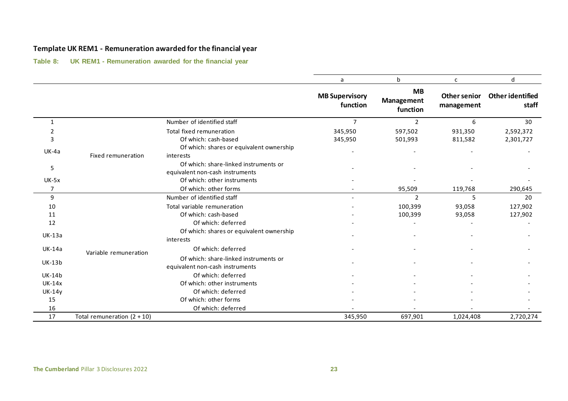# **Template UK REM1 - Remuneration awarded for the financial year**

**Table 8: UK REM1 - Remuneration awarded for the financial year**

<span id="page-22-0"></span>

|               |                               |                                                                          | a                                 | b                                   | C                          | d                                |
|---------------|-------------------------------|--------------------------------------------------------------------------|-----------------------------------|-------------------------------------|----------------------------|----------------------------------|
|               |                               |                                                                          | <b>MB Supervisory</b><br>function | <b>MB</b><br>Management<br>function | Other senior<br>management | <b>Other identified</b><br>staff |
| 1             |                               | Number of identified staff                                               | $\overline{7}$                    | $\overline{2}$                      | 6                          | 30                               |
| 2             |                               | Total fixed remuneration                                                 | 345,950                           | 597,502                             | 931,350                    | 2,592,372                        |
| 3             |                               | Of which: cash-based                                                     | 345,950                           | 501,993                             | 811,582                    | 2,301,727                        |
| UK-4a         | <b>Fixed remuneration</b>     | Of which: shares or equivalent ownership<br>interests                    |                                   |                                     |                            |                                  |
| 5             |                               | Of which: share-linked instruments or<br>equivalent non-cash instruments |                                   |                                     |                            |                                  |
| $UK-5x$       |                               | Of which: other instruments                                              |                                   |                                     |                            |                                  |
| 7             |                               | Of which: other forms                                                    |                                   | 95,509                              | 119,768                    | 290,645                          |
| 9             |                               | Number of identified staff                                               |                                   | 2                                   | 5                          | 20                               |
| 10            |                               | Total variable remuneration                                              |                                   | 100,399                             | 93,058                     | 127,902                          |
| 11            |                               | Of which: cash-based                                                     |                                   | 100,399                             | 93,058                     | 127,902                          |
| 12            |                               | Of which: deferred                                                       |                                   |                                     |                            |                                  |
| <b>UK-13a</b> |                               | Of which: shares or equivalent ownership<br>interests                    |                                   |                                     |                            |                                  |
| <b>UK-14a</b> | Variable remuneration         | Of which: deferred                                                       |                                   |                                     |                            |                                  |
| <b>UK-13b</b> |                               | Of which: share-linked instruments or<br>equivalent non-cash instruments |                                   |                                     |                            |                                  |
| <b>UK-14b</b> |                               | Of which: deferred                                                       |                                   |                                     |                            |                                  |
| $UK-14x$      |                               | Of which: other instruments                                              |                                   |                                     |                            |                                  |
| <b>UK-14y</b> |                               | Of which: deferred                                                       |                                   |                                     |                            |                                  |
| 15            |                               | Of which: other forms                                                    |                                   |                                     |                            |                                  |
| 16            |                               | Of which: deferred                                                       |                                   |                                     |                            |                                  |
| 17            | Total remuneration $(2 + 10)$ |                                                                          | 345,950                           | 697,901                             | 1,024,408                  | 2,720,274                        |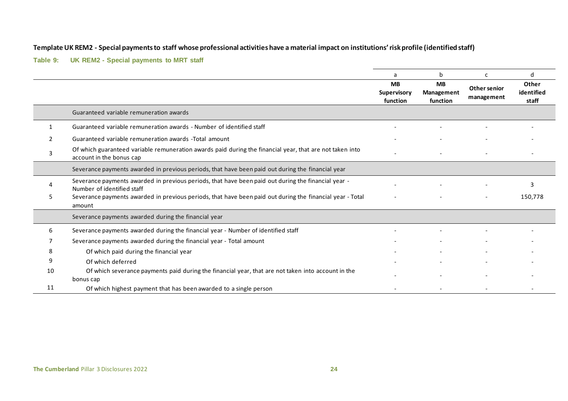#### **Template UK REM2 - Special payments to staff whose professional activities have a material impact on institutions' risk profile (identified staff)**

#### **Table 9: UK REM2 - Special payments to MRT staff**

<span id="page-23-0"></span>

|              |                                                                                                                                      | a                                    | b                                          | c                          | d                            |
|--------------|--------------------------------------------------------------------------------------------------------------------------------------|--------------------------------------|--------------------------------------------|----------------------------|------------------------------|
|              |                                                                                                                                      | <b>MB</b><br>Supervisory<br>function | <b>MB</b><br><b>Management</b><br>function | Other senior<br>management | Other<br>identified<br>staff |
|              | Guaranteed variable remuneration awards                                                                                              |                                      |                                            |                            |                              |
| $\mathbf{1}$ | Guaranteed variable remuneration awards - Number of identified staff                                                                 |                                      |                                            |                            |                              |
|              | Guaranteed variable remuneration awards - Total amount                                                                               |                                      |                                            |                            |                              |
| 3            | Of which guaranteed variable remuneration awards paid during the financial year, that are not taken into<br>account in the bonus cap |                                      |                                            |                            |                              |
|              | Severance payments awarded in previous periods, that have been paid out during the financial year                                    |                                      |                                            |                            |                              |
|              | Severance payments awarded in previous periods, that have been paid out during the financial year -<br>Number of identified staff    |                                      |                                            |                            | 3                            |
|              | Severance payments awarded in previous periods, that have been paid out during the financial year - Total<br>amount                  |                                      |                                            |                            | 150,778                      |
|              | Severance payments awarded during the financial year                                                                                 |                                      |                                            |                            |                              |
| 6            | Severance payments awarded during the financial year - Number of identified staff                                                    |                                      |                                            |                            |                              |
|              | Severance payments awarded during the financial year - Total amount                                                                  |                                      |                                            |                            |                              |
| 8            | Of which paid during the financial year                                                                                              |                                      |                                            |                            |                              |
| 9            | Of which deferred                                                                                                                    |                                      |                                            |                            |                              |
| 10           | Of which severance payments paid during the financial year, that are not taken into account in the                                   |                                      |                                            |                            |                              |
|              | bonus cap                                                                                                                            |                                      |                                            |                            |                              |
| 11           | Of which highest payment that has been awarded to a single person                                                                    |                                      |                                            |                            |                              |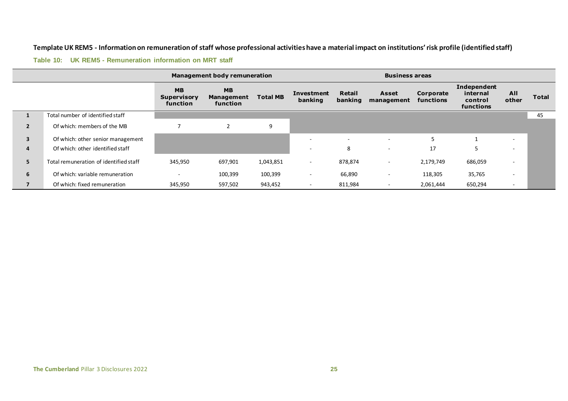#### **Template UK REM5 - Information on remuneration of staff whose professional activities have a material impact on institutions' risk profile (identified staff)**

#### **Table 10: UK REM5 - Remuneration information on MRT staff**

<span id="page-24-0"></span>

|                         |                                        | <b>Management body remuneration</b>         |                                     |                 |                          | <b>Business areas</b>    |                          |                        |                                                 |                          |       |
|-------------------------|----------------------------------------|---------------------------------------------|-------------------------------------|-----------------|--------------------------|--------------------------|--------------------------|------------------------|-------------------------------------------------|--------------------------|-------|
|                         |                                        | <b>MB</b><br><b>Supervisory</b><br>function | <b>MB</b><br>Management<br>function | <b>Total MB</b> | Investment<br>banking    | Retail<br>banking        | Asset<br>management      | Corporate<br>functions | Independent<br>internal<br>control<br>functions | All<br>other             | Total |
|                         | Total number of identified staff       |                                             |                                     |                 |                          |                          |                          |                        |                                                 |                          | 45    |
| $\overline{2}$          | Of which: members of the MB            |                                             |                                     | 9               |                          |                          |                          |                        |                                                 |                          |       |
| $\overline{\mathbf{3}}$ | Of which: other senior management      |                                             |                                     |                 |                          | $\overline{\phantom{a}}$ |                          |                        |                                                 | $\sim$                   |       |
| $\overline{4}$          | Of which: other identified staff       |                                             |                                     |                 |                          | 8                        |                          | 17                     |                                                 | $\sim$                   |       |
| 5.                      | Total remuneration of identified staff | 345,950                                     | 697,901                             | 1,043,851       | $\overline{\phantom{0}}$ | 878,874                  | $\overline{\phantom{a}}$ | 2,179,749              | 686,059                                         | $\overline{\phantom{0}}$ |       |
| 6                       | Of which: variable remuneration        |                                             | 100,399                             | 100,399         | $\overline{\phantom{0}}$ | 66,890                   | $\overline{\phantom{0}}$ | 118,305                | 35,765                                          | $\overline{\phantom{a}}$ |       |
|                         | Of which: fixed remuneration           | 345,950                                     | 597,502                             | 943,452         |                          | 811,984                  |                          | 2,061,444              | 650,294                                         | $\sim$                   |       |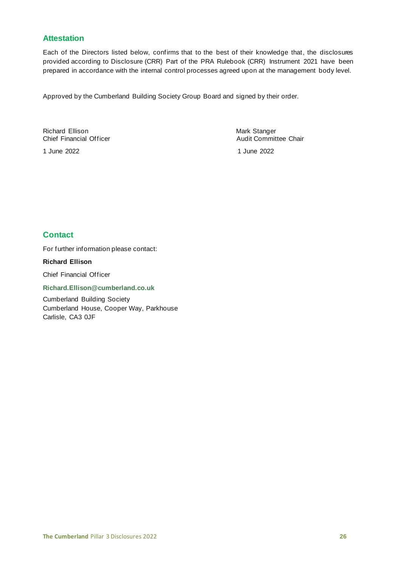# <span id="page-25-0"></span>**Attestation**

Each of the Directors listed below, confirms that to the best of their knowledge that, the disclosures provided according to Disclosure (CRR) Part of the PRA Rulebook (CRR) Instrument 2021 have been prepared in accordance with the internal control processes agreed upon at the management body level.

Approved by the Cumberland Building Society Group Board and signed by their order.

Richard Ellison **Mark Stanger (1998)**<br>Chief Financial Officer (1999) Mark Stanger (1999)<br>Audit Commit

1 June 2022 1 June 2022

Audit Committee Chair

# <span id="page-25-1"></span>**Contact**

For further information please contact:

#### **Richard Ellison**

Chief Financial Officer

#### **Richard.Ellison@cumberland.co.uk**

Cumberland Building Society Cumberland House, Cooper Way, Parkhouse Carlisle, CA3 0JF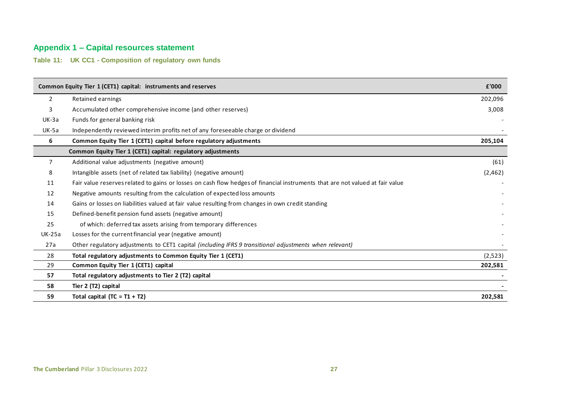# **Appendix 1 – Capital resources statement**

**Table 11: UK CC1 - Composition of regulatory own funds**

<span id="page-26-1"></span><span id="page-26-0"></span>

|                | Common Equity Tier 1 (CET1) capital: instruments and reserves                                                                 | £'000   |
|----------------|-------------------------------------------------------------------------------------------------------------------------------|---------|
| $\overline{2}$ | Retained earnings                                                                                                             | 202,096 |
| 3              | Accumulated other comprehensive income (and other reserves)                                                                   | 3,008   |
| UK-3a          | Funds for general banking risk                                                                                                |         |
| <b>UK-5a</b>   | Independently reviewed interim profits net of any foreseeable charge or dividend                                              |         |
| 6              | Common Equity Tier 1 (CET1) capital before regulatory adjustments                                                             | 205,104 |
|                | Common Equity Tier 1 (CET1) capital: regulatory adjustments                                                                   |         |
| 7              | Additional value adjustments (negative amount)                                                                                | (61)    |
| 8              | Intangible assets (net of related tax liability) (negative amount)                                                            | (2,462) |
| 11             | Fair value reserves related to gains or losses on cash flow hedges of financial instruments that are not valued at fair value |         |
| 12             | Negative amounts resulting from the calculation of expected loss amounts                                                      |         |
| 14             | Gains or losses on liabilities valued at fair value resulting from changes in own credit standing                             |         |
| 15             | Defined-benefit pension fund assets (negative amount)                                                                         |         |
| 25             | of which: deferred tax assets arising from temporary differences                                                              |         |
| <b>UK-25a</b>  | Losses for the current financial year (negative amount)                                                                       |         |
| 27a            | Other regulatory adjustments to CET1 capital (including IFRS 9 transitional adjustments when relevant)                        |         |
| 28             | Total regulatory adjustments to Common Equity Tier 1 (CET1)                                                                   | (2,523) |
| 29             | Common Equity Tier 1 (CET1) capital                                                                                           | 202,581 |
| 57             | Total regulatory adjustments to Tier 2 (T2) capital                                                                           |         |
| 58             | Tier 2 (T2) capital                                                                                                           |         |
| 59             | Total capital $(TC = T1 + T2)$                                                                                                | 202,581 |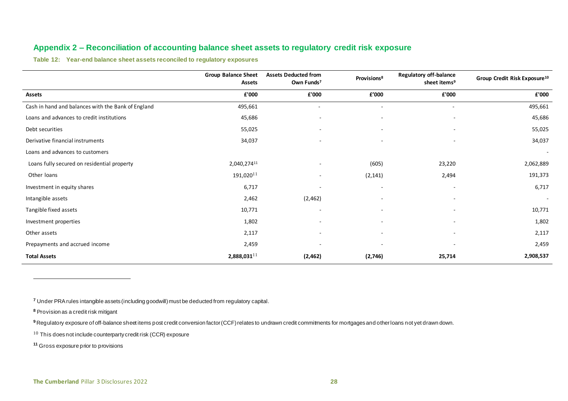# **Appendix 2 – Reconciliation of accounting balance sheet assets to regulatory credit risk exposure**

<span id="page-27-2"></span>**Table 12: Year-end balance sheet assets reconciled to regulatory exposures**

|                                                    | <b>Group Balance Sheet</b><br><b>Assets</b> | <b>Assets Deducted from</b><br>Own Funds <sup>7</sup> | Provisions <sup>8</sup>  | <b>Regulatory off-balance</b><br>sheet items <sup>9</sup> | Group Credit Risk Exposure <sup>10</sup> |
|----------------------------------------------------|---------------------------------------------|-------------------------------------------------------|--------------------------|-----------------------------------------------------------|------------------------------------------|
| Assets                                             | £'000                                       | ${\bf f}$ '000                                        | ${\bf f}^{\prime}$ 000   | ${\bf f}$ '000                                            | £'000                                    |
| Cash in hand and balances with the Bank of England | 495,661                                     | $\overline{\phantom{a}}$                              | $\overline{\phantom{a}}$ | $\sim$                                                    | 495,661                                  |
| Loans and advances to credit institutions          | 45,686                                      | $\overline{\phantom{a}}$                              | $\overline{\phantom{a}}$ | $\overline{\phantom{a}}$                                  | 45,686                                   |
| Debt securities                                    | 55,025                                      | $\overline{\phantom{a}}$                              |                          |                                                           | 55,025                                   |
| Derivative financial instruments                   | 34,037                                      |                                                       |                          |                                                           | 34,037                                   |
| Loans and advances to customers                    |                                             |                                                       |                          |                                                           | $\overline{\phantom{a}}$                 |
| Loans fully secured on residential property        | 2,040,27411                                 | $\overline{\phantom{a}}$                              | (605)                    | 23,220                                                    | 2,062,889                                |
| Other loans                                        | $191,020$ <sup>11</sup>                     | $\overline{\phantom{a}}$                              | (2, 141)                 | 2,494                                                     | 191,373                                  |
| Investment in equity shares                        | 6,717                                       | $\overline{\phantom{a}}$                              | $\overline{\phantom{a}}$ | ٠                                                         | 6,717                                    |
| Intangible assets                                  | 2,462                                       | (2, 462)                                              | $\overline{\phantom{a}}$ | $\overline{\phantom{m}}$                                  | $\overline{\phantom{a}}$                 |
| Tangible fixed assets                              | 10,771                                      | $\overline{\phantom{a}}$                              | $\overline{\phantom{a}}$ | ٠                                                         | 10,771                                   |
| Investment properties                              | 1,802                                       | $\overline{\phantom{a}}$                              | $\overline{\phantom{a}}$ |                                                           | 1,802                                    |
| Other assets                                       | 2,117                                       | $\sim$                                                |                          | ٠                                                         | 2,117                                    |
| Prepayments and accrued income                     | 2,459                                       |                                                       |                          | ٠                                                         | 2,459                                    |
| <b>Total Assets</b>                                | $2,888,031$ <sup>11</sup>                   | (2,462)                                               | (2,746)                  | 25,714                                                    | 2,908,537                                |

<span id="page-27-1"></span><span id="page-27-0"></span>**<sup>7</sup>** Under PRA rules intangible assets (including goodwill) must be deducted from regulatory capital.

**<sup>8</sup>** Provision as a credit risk mitigant

<sup>9</sup> Regulatory exposure of off-balance sheet items post credit conversion factor (CCF) relates to undrawn credit commitments for mortgages and other loans not yet drawn down.

 $10$  This does not include counterparty credit risk (CCR) exposure

**<sup>11</sup>** Gross exposure prior to provisions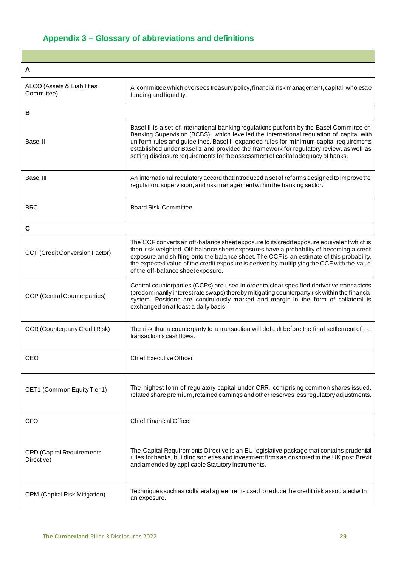# <span id="page-28-0"></span>**Appendix 3 – Glossary of abbreviations and definitions**

| A                                              |                                                                                                                                                                                                                                                                                                                                                                                                                                                               |
|------------------------------------------------|---------------------------------------------------------------------------------------------------------------------------------------------------------------------------------------------------------------------------------------------------------------------------------------------------------------------------------------------------------------------------------------------------------------------------------------------------------------|
| ALCO (Assets & Liabilities<br>Committee)       | A committee which oversees treasury policy, financial risk management, capital, wholesale<br>funding and liquidity.                                                                                                                                                                                                                                                                                                                                           |
| В                                              |                                                                                                                                                                                                                                                                                                                                                                                                                                                               |
| <b>Basel II</b>                                | Basel II is a set of international banking regulations put forth by the Basel Committee on<br>Banking Supervision (BCBS), which levelled the international regulation of capital with<br>uniform rules and guidelines. Basel II expanded rules for minimum capital requirements<br>established under Basel 1 and provided the framework for regulatory review, as well as<br>setting disclosure requirements for the assessment of capital adequacy of banks. |
| <b>Basel III</b>                               | An international regulatory accord that introduced a set of reforms designed to improve the<br>regulation, supervision, and risk management within the banking sector.                                                                                                                                                                                                                                                                                        |
| <b>BRC</b>                                     | <b>Board Risk Committee</b>                                                                                                                                                                                                                                                                                                                                                                                                                                   |
| C                                              |                                                                                                                                                                                                                                                                                                                                                                                                                                                               |
| CCF (Credit Conversion Factor)                 | The CCF converts an off-balance sheet exposure to its credit exposure equivalent which is<br>then risk weighted. Off-balance sheet exposures have a probability of becoming a credit<br>exposure and shifting onto the balance sheet. The CCF is an estimate of this probability,<br>the expected value of the credit exposure is derived by multiplying the CCF with the value<br>of the off-balance sheet exposure.                                         |
| <b>CCP</b> (Central Counterparties)            | Central counterparties (CCPs) are used in order to clear specified derivative transactions<br>(predominantly interest rate swaps) thereby mitigating counterparty risk within the financial<br>system. Positions are continuously marked and margin in the form of collateral is<br>exchanged on at least a daily basis.                                                                                                                                      |
| <b>CCR (Counterparty Credit Risk)</b>          | The risk that a counterparty to a transaction will default before the final settlement of the<br>transaction's cashflows.                                                                                                                                                                                                                                                                                                                                     |
| CEO                                            | <b>Chief Executive Officer</b>                                                                                                                                                                                                                                                                                                                                                                                                                                |
| CET1 (Common Equity Tier 1)                    | The highest form of regulatory capital under CRR, comprising common shares issued,<br>related share premium, retained earnings and other reserves less regulatory adjustments.                                                                                                                                                                                                                                                                                |
| <b>CFO</b>                                     | <b>Chief Financial Officer</b>                                                                                                                                                                                                                                                                                                                                                                                                                                |
| <b>CRD</b> (Capital Requirements<br>Directive) | The Capital Requirements Directive is an EU legislative package that contains prudential<br>rules for banks, building societies and investment firms as onshored to the UK post Brexit<br>and amended by applicable Statutory Instruments.                                                                                                                                                                                                                    |
| <b>CRM</b> (Capital Risk Mitigation)           | Techniques such as collateral agreements used to reduce the credit risk associated with<br>an exposure.                                                                                                                                                                                                                                                                                                                                                       |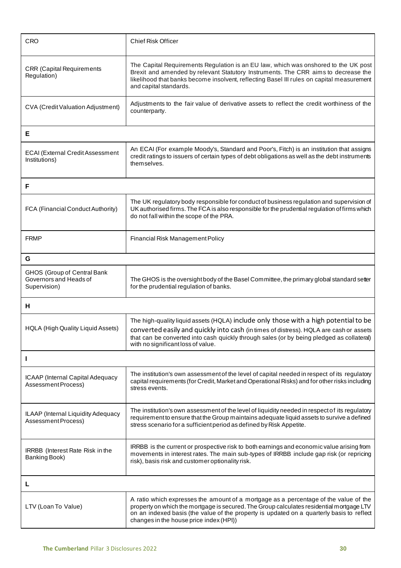| <b>CRO</b>                                                                   | <b>Chief Risk Officer</b>                                                                                                                                                                                                                                                                                                |  |  |  |
|------------------------------------------------------------------------------|--------------------------------------------------------------------------------------------------------------------------------------------------------------------------------------------------------------------------------------------------------------------------------------------------------------------------|--|--|--|
| <b>CRR</b> (Capital Requirements<br>Regulation)                              | The Capital Requirements Regulation is an EU law, which was onshored to the UK post<br>Brexit and amended by relevant Statutory Instruments. The CRR aims to decrease the<br>likelihood that banks become insolvent, reflecting Basel III rules on capital measurement<br>and capital standards.                         |  |  |  |
| <b>CVA</b> (Credit Valuation Adjustment)                                     | Adjustments to the fair value of derivative assets to reflect the credit worthiness of the<br>counterparty.                                                                                                                                                                                                              |  |  |  |
| Е                                                                            |                                                                                                                                                                                                                                                                                                                          |  |  |  |
| <b>ECAI (External Credit Assessment</b><br>Institutions)                     | An ECAI (For example Moody's, Standard and Poor's, Fitch) is an institution that assigns<br>credit ratings to issuers of certain types of debt obligations as well as the debt instruments<br>themselves.                                                                                                                |  |  |  |
| F                                                                            |                                                                                                                                                                                                                                                                                                                          |  |  |  |
| FCA (Financial Conduct Authority)                                            | The UK regulatory body responsible for conduct of business regulation and supervision of<br>UK authorised firms. The FCA is also responsible for the prudential regulation of firms which<br>do not fall within the scope of the PRA.                                                                                    |  |  |  |
| <b>FRMP</b>                                                                  | <b>Financial Risk Management Policy</b>                                                                                                                                                                                                                                                                                  |  |  |  |
| G                                                                            |                                                                                                                                                                                                                                                                                                                          |  |  |  |
| <b>GHOS (Group of Central Bank</b><br>Governors and Heads of<br>Supervision) | The GHOS is the oversight body of the Basel Committee, the primary global standard setter<br>for the prudential regulation of banks.                                                                                                                                                                                     |  |  |  |
| н                                                                            |                                                                                                                                                                                                                                                                                                                          |  |  |  |
| HQLA (High Quality Liquid Assets)                                            | The high-quality liquid assets (HQLA) include only those with a high potential to be<br>converted easily and quickly into cash (in times of distress). HQLA are cash or assets<br>that can be converted into cash quickly through sales (or by being pledged as collateral)<br>with no significant loss of value.        |  |  |  |
| L                                                                            |                                                                                                                                                                                                                                                                                                                          |  |  |  |
| ICAAP (Internal Capital Adequacy<br>Assessment Process)                      | The institution's own assessment of the level of capital needed in respect of its regulatory<br>capital requirements (for Credit, Market and Operational Risks) and for other risks including<br>stress events.                                                                                                          |  |  |  |
| ILAAP (Internal Liquidity Adequacy<br>Assessment Process)                    | The institution's own assessment of the level of liquidity needed in respect of its regulatory<br>requirement to ensure that the Group maintains adequate liquid assets to survive a defined<br>stress scenario for a sufficient period as defined by Risk Appetite.                                                     |  |  |  |
| <b>IRRBB</b> (Interest Rate Risk in the<br>Banking Book)                     | IRRBB is the current or prospective risk to both earnings and economic value arising from<br>movements in interest rates. The main sub-types of IRRBB include gap risk (or repricing<br>risk), basis risk and customer optionality risk.                                                                                 |  |  |  |
| L                                                                            |                                                                                                                                                                                                                                                                                                                          |  |  |  |
| LTV (Loan To Value)                                                          | A ratio which expresses the amount of a mortgage as a percentage of the value of the<br>property on which the mortgage is secured. The Group calculates residential mortgage LTV<br>on an indexed basis (the value of the property is updated on a quarterly basis to reflect<br>changes in the house price index (HPI)) |  |  |  |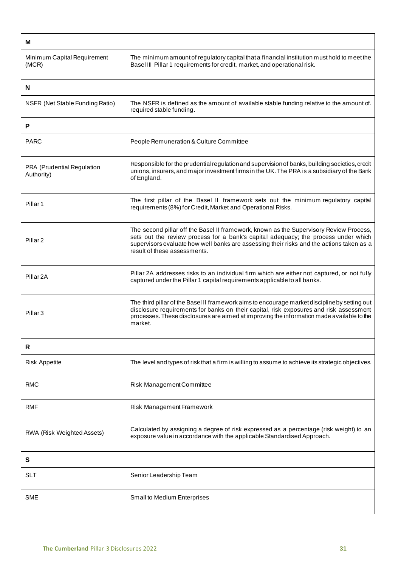| м                                        |                                                                                                                                                                                                                                                                                                          |  |  |  |
|------------------------------------------|----------------------------------------------------------------------------------------------------------------------------------------------------------------------------------------------------------------------------------------------------------------------------------------------------------|--|--|--|
| Minimum Capital Requirement<br>(MCR)     | The minimum amount of regulatory capital that a financial institution must hold to meet the<br>Basel III Pillar 1 requirements for credit, market, and operational risk.                                                                                                                                 |  |  |  |
| N                                        |                                                                                                                                                                                                                                                                                                          |  |  |  |
| NSFR (Net Stable Funding Ratio)          | The NSFR is defined as the amount of available stable funding relative to the amount of.<br>required stable funding.                                                                                                                                                                                     |  |  |  |
| P                                        |                                                                                                                                                                                                                                                                                                          |  |  |  |
| <b>PARC</b>                              | People Remuneration & Culture Committee                                                                                                                                                                                                                                                                  |  |  |  |
| PRA (Prudential Regulation<br>Authority) | Responsible for the prudential regulation and supervision of banks, building societies, credit<br>unions, insurers, and major investment firms in the UK. The PRA is a subsidiary of the Bank<br>of England.                                                                                             |  |  |  |
| Pillar <sub>1</sub>                      | The first pillar of the Basel II framework sets out the minimum regulatory capital<br>requirements (8%) for Credit, Market and Operational Risks.                                                                                                                                                        |  |  |  |
| Pillar <sub>2</sub>                      | The second pillar off the Basel II framework, known as the Supervisory Review Process,<br>sets out the review process for a bank's capital adequacy; the process under which<br>supervisors evaluate how well banks are assessing their risks and the actions taken as a<br>result of these assessments. |  |  |  |
| Pillar <sub>2A</sub>                     | Pillar 2A addresses risks to an individual firm which are either not captured, or not fully<br>captured under the Pillar 1 capital requirements applicable to all banks.                                                                                                                                 |  |  |  |
| Pillar <sub>3</sub>                      | The third pillar of the Basel II framework aims to encourage market discipline by setting out<br>disclosure requirements for banks on their capital, risk exposures and risk assessment<br>processes. These disclosures are aimed at improving the information made available to the<br>market.          |  |  |  |
| R                                        |                                                                                                                                                                                                                                                                                                          |  |  |  |
| <b>Risk Appetite</b>                     | The level and types of risk that a firm is willing to assume to achieve its strategic objectives.                                                                                                                                                                                                        |  |  |  |
| RMC                                      | Risk Management Committee                                                                                                                                                                                                                                                                                |  |  |  |
| RMF                                      | Risk Management Framework                                                                                                                                                                                                                                                                                |  |  |  |
| RWA (Risk Weighted Assets)               | Calculated by assigning a degree of risk expressed as a percentage (risk weight) to an<br>exposure value in accordance with the applicable Standardised Approach.                                                                                                                                        |  |  |  |
| S                                        |                                                                                                                                                                                                                                                                                                          |  |  |  |
| <b>SLT</b>                               | Senior Leadership Team                                                                                                                                                                                                                                                                                   |  |  |  |
| <b>SME</b>                               | Small to Medium Enterprises                                                                                                                                                                                                                                                                              |  |  |  |

Ī